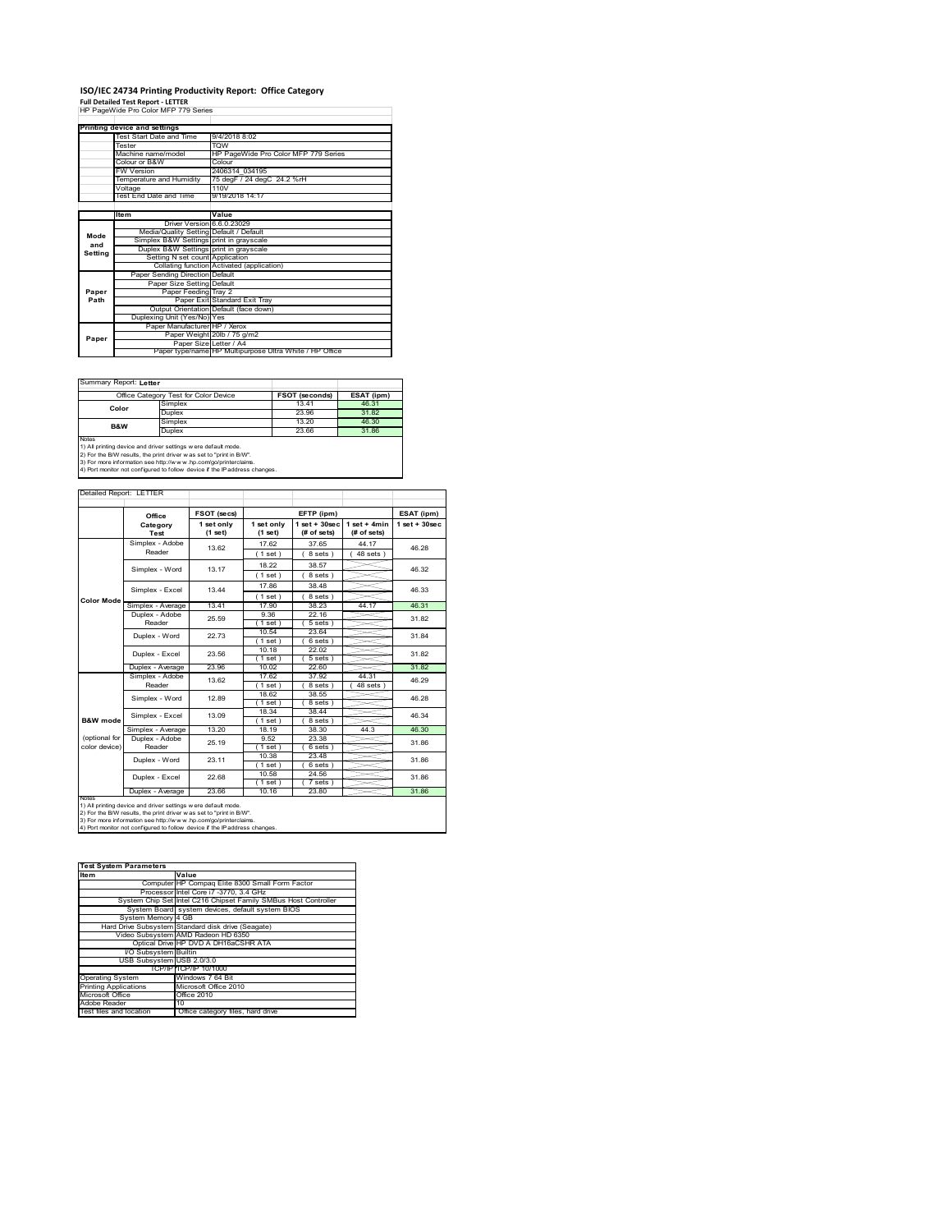# **ISO/IEC 24734 Printing Productivity Report: Office Category Full Detailed Test Report ‐ LETTER** HP PageWide Pro Color MFP 779 Series

|         | Printing device and settings            |                                                         |  |  |  |
|---------|-----------------------------------------|---------------------------------------------------------|--|--|--|
|         | Test Start Date and Time                | 9/4/2018 8:02                                           |  |  |  |
|         | Tester                                  | <b>TOW</b>                                              |  |  |  |
|         | Machine name/model                      | HP PageWide Pro Color MFP 779 Series                    |  |  |  |
|         | Colour or B&W                           | Colour                                                  |  |  |  |
|         | <b>FW Version</b>                       | 2406314 034195                                          |  |  |  |
|         | Temperature and Humidity                | 75 degF / 24 degC 24.2 %rH                              |  |  |  |
|         | Voltage                                 | 110V                                                    |  |  |  |
|         | Test End Date and Time                  | 9/19/2018 14:17                                         |  |  |  |
|         |                                         |                                                         |  |  |  |
|         | <b>Item</b>                             | Value                                                   |  |  |  |
|         | Driver Version 6.6.0.23029              |                                                         |  |  |  |
| Mode    | Media/Quality Setting Default / Default |                                                         |  |  |  |
| and     | Simplex B&W Settings print in grayscale |                                                         |  |  |  |
| Setting | Duplex B&W Settings print in grayscale  |                                                         |  |  |  |
|         | Setting N set count Application         |                                                         |  |  |  |
|         |                                         | Collating function Activated (application)              |  |  |  |
|         | Paper Sending Direction Default         |                                                         |  |  |  |
|         | Paper Size Setting Default              |                                                         |  |  |  |
| Paper   | Paper Feeding Tray 2                    |                                                         |  |  |  |
| Path    |                                         | Paper Exit Standard Exit Tray                           |  |  |  |
|         |                                         | Output Orientation Default (face down)                  |  |  |  |
|         | Duplexing Unit (Yes/No) Yes             |                                                         |  |  |  |
|         | Paper Manufacturer HP / Xerox           |                                                         |  |  |  |
| Paper   |                                         | Paper Weight 20lb / 75 g/m2                             |  |  |  |
|         |                                         | Paper Size Letter / A4                                  |  |  |  |
|         |                                         | Paper type/name HP Multipurpose Ultra White / HP Office |  |  |  |

 $\sim$ 

Summary Report: **Letter**

| Office Category Test for Color Device                               |                                                                            | <b>FSOT (seconds)</b> | ESAT (ipm) |  |  |
|---------------------------------------------------------------------|----------------------------------------------------------------------------|-----------------------|------------|--|--|
|                                                                     | Simplex                                                                    | 13.41                 | 46.31      |  |  |
| Color                                                               | Duplex                                                                     | 23.96                 | 31.82      |  |  |
| <b>B&amp;W</b>                                                      | Simplex                                                                    | 13.20                 | 46.30      |  |  |
|                                                                     | Duplex                                                                     | 23.66                 | 31.86      |  |  |
| Notes                                                               |                                                                            |                       |            |  |  |
|                                                                     | 1) All printing device and driver settings w ere default mode.             |                       |            |  |  |
| 2) For the B/W results, the print driver was set to "print in B/W". |                                                                            |                       |            |  |  |
| 3) For more information see http://www.hp.com/go/printerclaims.     |                                                                            |                       |            |  |  |
|                                                                     | 4) Port monitor not configured to follow device if the IP address changes. |                       |            |  |  |

| Detailed Report: LETTER |                          |                       |                       |                                  |                               |                   |
|-------------------------|--------------------------|-----------------------|-----------------------|----------------------------------|-------------------------------|-------------------|
|                         | Office                   | FSOT (secs)           |                       | EFTP (ipm)                       |                               | ESAT (ipm)        |
|                         | Category<br>Test         | 1 set only<br>(1 set) | 1 set only<br>(1 set) | $1$ set $+30$ sec<br>(# of sets) | $1$ set + 4min<br>(# of sets) | $1$ set $+30$ sec |
|                         | Simplex - Adobe          | 13.62                 | 17.62                 | 37 65                            | 44 17                         | 46.28             |
|                         | Reader                   |                       | $1$ set)              | 8 sets)                          | $48$ sets $)$                 |                   |
|                         | Simplex - Word           | 13.17                 | 18.22                 | 38.57                            |                               | 46.32             |
|                         |                          |                       | (1 set)               | 8 sets)                          |                               |                   |
|                         | Simplex - Excel          | 13 44                 | 17.86                 | 38.48                            |                               | 46.33             |
|                         |                          |                       | (1 set)               | 8 sets)                          |                               |                   |
| <b>Color Mode</b>       | Simplex - Average        | 13.41                 | 17.90                 | 38.23                            | 44.17                         | 46.31             |
|                         | Duplex - Adobe<br>Reader | 25.59                 | 9.36                  | 22.16                            |                               | 31.82             |
|                         |                          |                       | $1$ set)              | $5 sets$ )                       |                               |                   |
|                         | Duplex - Word            | 22.73                 | 10.54                 | 23.64                            |                               | 31.84             |
|                         |                          |                       | $1$ set)              | 6 sets)                          |                               |                   |
|                         | Duplex - Excel           | 23.56                 | 10.18                 | 22.02                            |                               | 31.82             |
|                         |                          |                       | $1$ set)              | $5 sets$ )                       |                               |                   |
|                         | Duplex - Average         | 23.96                 | 10.02                 | 22.60                            |                               | 31.82             |
|                         | Simplex - Adobe          | 13.62                 | 17.62                 | 37.92                            | 44.31                         | 46.29             |
|                         | Reader                   |                       | (1 set)               | 8 sets                           | 48 sets                       |                   |
|                         | Simplex - Word           | 12.89                 | 18.62                 | 38.55                            |                               | 46.28             |
|                         |                          |                       | (1 set)               | 8 sets)                          |                               |                   |
|                         | Simplex - Excel          | 13.09                 | 18.34                 | 38.44                            |                               | 46.34             |
| <b>B&amp;W</b> mode     |                          |                       | (1 set)               | 8 sets)                          |                               |                   |
|                         | Simplex - Average        | 13.20                 | 18 19                 | 38.30                            | 44.3                          | 46.30             |
| (optional for           | Duplex - Adobe           | 25.19                 | 9.52                  | 23.38                            |                               | 31.86             |
| color device)           | Reader                   |                       | (1 set)               | $6 sets$ )                       |                               |                   |
|                         | Duplex - Word            | 23 11                 | 10.38                 | 23.48                            |                               | 31.86             |
|                         |                          |                       | (1 set)               | 6 sets)                          |                               |                   |
|                         | Duplex - Excel           | 22.68                 | 10.58                 | 24.56                            |                               | 31.86             |
|                         |                          | 23.66                 | (1 set)<br>10.16      | 7 sets)<br>23.80                 |                               | 31.86             |
| <b>NOtes</b>            | Duplex - Average         |                       |                       |                                  |                               |                   |

notes<br>1) All printing device and driver settings were default mode.<br>2) For the B/W results, the print driver was set to "print in B/W".<br>3) For more information see http://www.hp.com/go/printerclaims.<br>4) Por morator not con

| <b>Test System Parameters</b> |                                                                 |
|-------------------------------|-----------------------------------------------------------------|
| <b>Item</b>                   | Value                                                           |
|                               | Computer HP Compag Elite 8300 Small Form Factor                 |
|                               | Processor Intel Core i7 -3770, 3.4 GHz                          |
|                               | System Chip Set Intel C216 Chipset Family SMBus Host Controller |
|                               | System Board system devices, default system BIOS                |
| System Memory 4 GB            |                                                                 |
|                               | Hard Drive Subsystem Standard disk drive (Seagate)              |
|                               | Video Subsystem AMD Radeon HD 6350                              |
|                               | Optical Drive HP DVD A DH16aCSHR ATA                            |
| I/O Subsystem Builtin         |                                                                 |
| USB Subsystem USB 2.0/3.0     |                                                                 |
|                               | TCP/IPITCP/IP 10/1000                                           |
| <b>Operating System</b>       | Windows 7 64 Bit                                                |
| <b>Printing Applications</b>  | Microsoft Office 2010                                           |
| Microsoft Office              | Office 2010                                                     |
| Adobe Reader                  | 10                                                              |
| Test files and location       | Office category files, hard drive                               |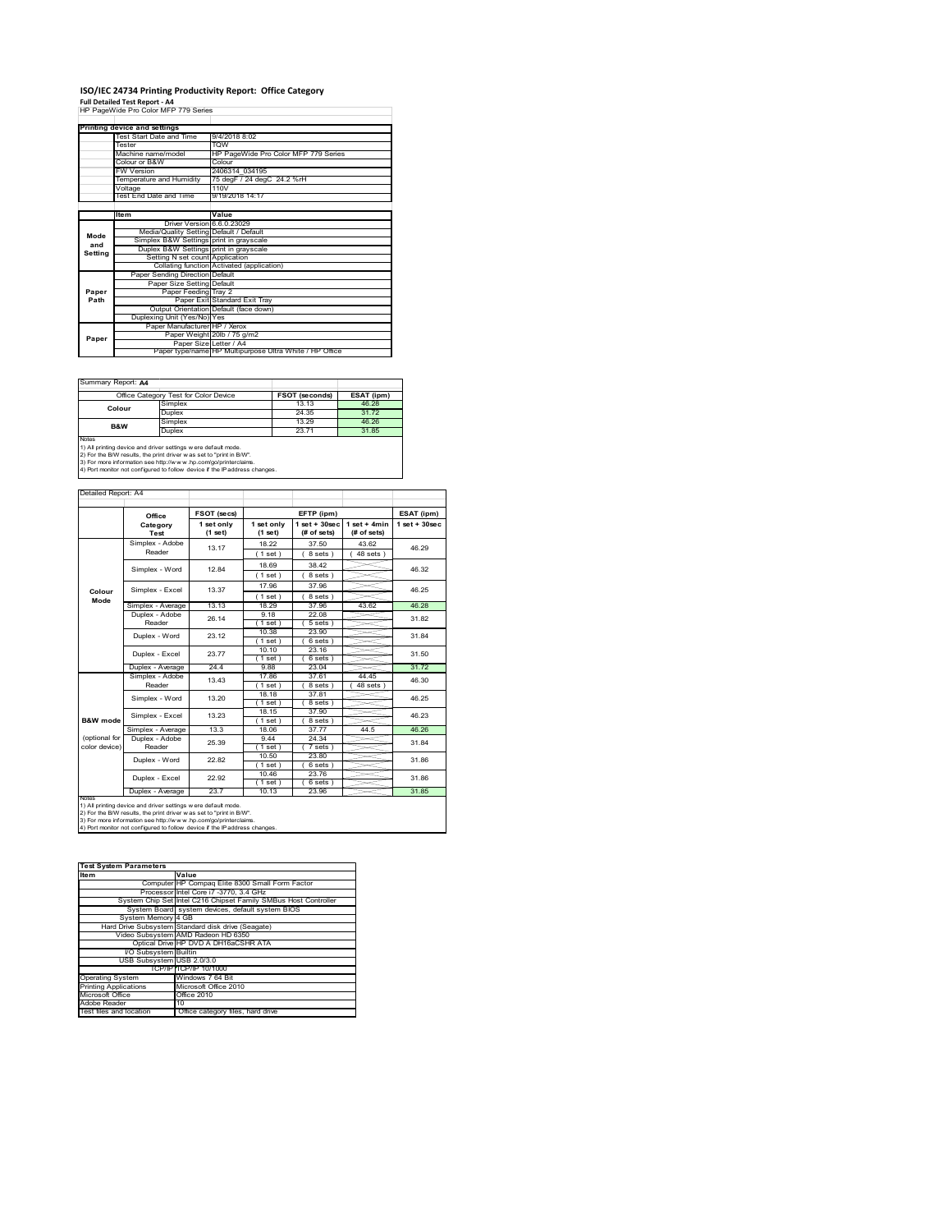## **ISO/IEC 24734 Printing Productivity Report: Office Category**

**Full Detailed Test Report ‐ A4** HP PageWide Pro Color MFP 779 Series

| HP PageWide Pro Color MFP 779 Series |                                         |                                                         |  |  |
|--------------------------------------|-----------------------------------------|---------------------------------------------------------|--|--|
|                                      |                                         |                                                         |  |  |
|                                      | Printing device and settings            |                                                         |  |  |
|                                      | Test Start Date and Time                | 9/4/2018 8:02                                           |  |  |
|                                      | Tester                                  | <b>TOW</b>                                              |  |  |
|                                      | Machine name/model                      | HP PageWide Pro Color MFP 779 Series                    |  |  |
|                                      | Colour or B&W                           | Colour                                                  |  |  |
|                                      | <b>FW Version</b>                       | 2406314 034195                                          |  |  |
|                                      | Temperature and Humidity                | 75 degF / 24 degC 24.2 %rH                              |  |  |
|                                      | Voltage                                 | 110V                                                    |  |  |
|                                      | Test End Date and Time                  | 9/19/2018 14:17                                         |  |  |
|                                      |                                         |                                                         |  |  |
|                                      | <b>Item</b>                             | Value                                                   |  |  |
|                                      | Driver Version 6.6.0.23029              |                                                         |  |  |
| Mode                                 | Media/Quality Setting Default / Default |                                                         |  |  |
| and                                  | Simplex B&W Settings print in grayscale |                                                         |  |  |
| Setting                              | Duplex B&W Settings print in grayscale  |                                                         |  |  |
|                                      | Setting N set count Application         |                                                         |  |  |
|                                      |                                         | Collating function Activated (application)              |  |  |
|                                      | Paper Sending Direction Default         |                                                         |  |  |
|                                      | Paper Size Setting Default              |                                                         |  |  |
| Paper                                | Paper Feeding Tray 2                    |                                                         |  |  |
| Path                                 |                                         | Paper Exit Standard Exit Tray                           |  |  |
|                                      |                                         | Output Orientation Default (face down)                  |  |  |
|                                      | Duplexing Unit (Yes/No) Yes             |                                                         |  |  |
|                                      | Paper Manufacturer HP / Xerox           |                                                         |  |  |
| Paper                                |                                         | Paper Weight 20lb / 75 g/m2                             |  |  |
|                                      | Paper Size Letter / A4                  |                                                         |  |  |
|                                      |                                         | Paper type/name HP Multipurpose Ultra White / HP Office |  |  |

Summary Report: **A4**

| Office Category Test for Color Device                                                                                                          |         | <b>FSOT (seconds)</b> | ESAT (ipm) |  |  |  |
|------------------------------------------------------------------------------------------------------------------------------------------------|---------|-----------------------|------------|--|--|--|
| Colour                                                                                                                                         | Simplex | 13.13                 | 46.28      |  |  |  |
|                                                                                                                                                | Duplex  | 24.35                 | 31.72      |  |  |  |
| B&W                                                                                                                                            | Simplex | 13.29                 | 46.26      |  |  |  |
|                                                                                                                                                | Duplex  | 23.71                 | 31.85      |  |  |  |
| Notes<br>1) All printing device and driver settings w ere default mode.<br>2) For the B/W results, the print driver was set to "print in B/W". |         |                       |            |  |  |  |

| Detailed Report: A4 |                                               |                         |                       |                                  |                               |                   |
|---------------------|-----------------------------------------------|-------------------------|-----------------------|----------------------------------|-------------------------------|-------------------|
|                     | Office                                        | FSOT (secs)             |                       | EFTP (ipm)                       |                               | ESAT (ipm)        |
|                     | Category<br>Test                              | 1 set only<br>$(1$ set) | 1 set only<br>(1 set) | $1$ set $+30$ sec<br>(# of sets) | $1$ set + 4min<br>(# of sets) | $1$ set $+30$ sec |
|                     | Simplex - Adobe<br>Reader                     | 13.17                   | 18.22                 | 37.50                            | 43.62                         | 46.29             |
|                     | Simplex - Word                                | 1284                    | (1 set)<br>18.69      | 8 sets)<br>38.42                 | $48$ sets $)$                 | 46.32             |
|                     |                                               |                         | (1 set)<br>17.96      | 8 sets)<br>37.96                 |                               |                   |
| Colour<br>Mode      | Simplex - Excel                               | 13.37<br>13.13          | $1$ set $)$<br>18 29  | 8 sets 1<br>37.96                | 43.62                         | 46 25             |
|                     | Simplex - Average<br>Duplex - Adobe<br>Reader | 26 14                   | 9.18<br>1 set)        | 22.08<br>5 sets)                 |                               | 46.28<br>31.82    |
|                     | Duplex - Word                                 | 23.12                   | 10.38<br>$1$ set)     | 23.90<br>6 sets)                 |                               | 31.84             |
|                     | Duplex - Excel                                | 23.77                   | 10.10<br>$1$ set $)$  | 23.16<br>6 sets)                 |                               | 31.50             |
|                     | Duplex - Average                              | 24.4                    | 9.88                  | 23.04                            |                               | 31.72             |
|                     | Simplex - Adobe<br>Reader                     | 13.43                   | 1786<br>1 set)        | 37 61<br>8 sets                  | 44 45<br>48 sets              | 46.30             |
|                     | Simplex - Word                                | 13.20                   | 18.18<br>$'1$ set)    | 37.81<br>8 sets)                 |                               | 46.25             |
| B&W mode            | Simplex - Excel                               | 13.23                   | 18.15<br>(1 set)      | 37.90<br>8 sets)                 |                               | 46.23             |

|                     | Simplex - Adobe                                                            | 13.43 | 17.86       | 37.61  | 44.45   | 46.30 |
|---------------------|----------------------------------------------------------------------------|-------|-------------|--------|---------|-------|
|                     | Reader                                                                     |       | $1$ set $)$ | 8 sets | 48 sets |       |
|                     | Simplex - Word                                                             | 13.20 | 18.18       | 37.81  |         | 46.25 |
|                     |                                                                            |       | $1$ set)    | 8 sets |         |       |
|                     | Simplex - Excel                                                            | 13.23 | 18.15       | 37.90  |         | 46.23 |
| <b>B&amp;W</b> mode |                                                                            |       | $1$ set)    | 8 sets |         |       |
|                     | Simplex - Average                                                          | 13.3  | 18.06       | 37.77  | 44.5    | 46.26 |
| (optional for       | Duplex - Adobe                                                             | 25.39 | 9.44        | 24.34  |         | 31.84 |
| color device)       | Reader                                                                     |       | $1$ set)    | 7 sets |         |       |
|                     | Duplex - Word                                                              | 22.82 | 10.50       | 23.80  |         | 31.86 |
|                     |                                                                            |       | $1$ set $)$ | 6 sets |         |       |
|                     | Duplex - Excel                                                             | 22.92 | 10.46       | 23.76  |         | 31.86 |
|                     |                                                                            |       | $1$ set $)$ | 6 sets |         |       |
|                     | Duplex - Average                                                           | 23.7  | 10.13       | 23.96  |         | 31.85 |
| <b>NOtes</b>        | 1) All printing device and driver settings w ere default mode.             |       |             |        |         |       |
|                     | 2) For the B/W results, the print driver was set to "print in B/W".        |       |             |        |         |       |
|                     | 3) For more information see http://www.hp.com/go/printerclaims.            |       |             |        |         |       |
|                     | 4) Port monitor not configured to follow device if the IP address changes. |       |             |        |         |       |

| <b>Test System Parameters</b> |                                                                 |
|-------------------------------|-----------------------------------------------------------------|
| <b>Item</b>                   | Value                                                           |
|                               | Computer HP Compag Elite 8300 Small Form Factor                 |
|                               | Processor Intel Core i7 -3770, 3.4 GHz                          |
|                               | System Chip Set Intel C216 Chipset Family SMBus Host Controller |
|                               | System Board system devices, default system BIOS                |
| System Memory 4 GB            |                                                                 |
|                               | Hard Drive Subsystem Standard disk drive (Seagate)              |
|                               | Video Subsystem AMD Radeon HD 6350                              |
|                               | Optical Drive HP DVD A DH16aCSHR ATA                            |
| I/O Subsystem Builtin         |                                                                 |
| USB Subsystem USB 2.0/3.0     |                                                                 |
|                               | TCP/IPITCP/IP 10/1000                                           |
| <b>Operating System</b>       | Windows 7 64 Bit                                                |
| <b>Printing Applications</b>  | Microsoft Office 2010                                           |
| Microsoft Office              | Office 2010                                                     |
| Adobe Reader                  | 10                                                              |
| Test files and location       | Office category files, hard drive                               |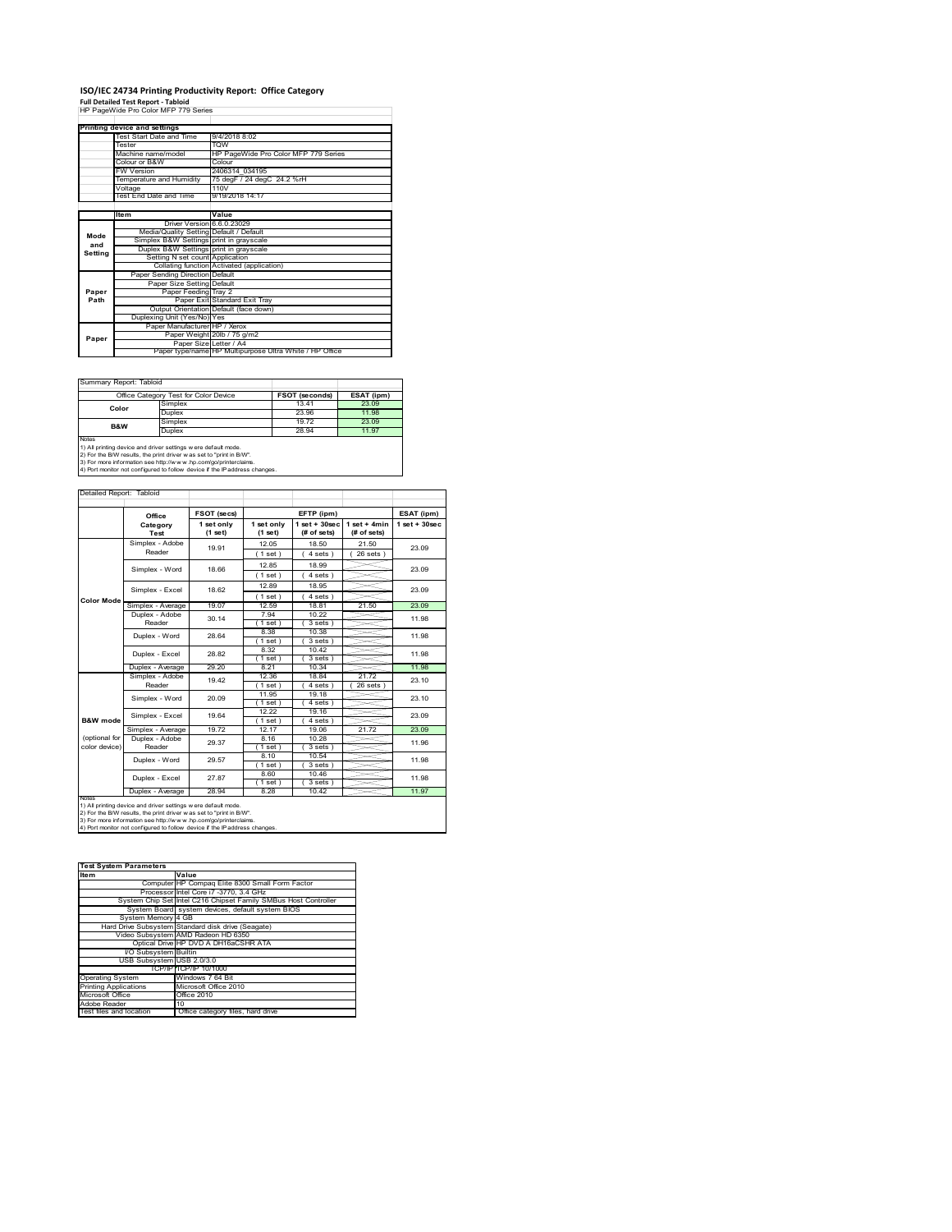### **ISO/IEC 24734 Printing Productivity Report: Office Category**

**Full Detailed Test Report ‐ Tabloid** HP PageWide Pro Color MFP 779 Series

|         | Printing device and settings            |                                                         |  |  |
|---------|-----------------------------------------|---------------------------------------------------------|--|--|
|         | Test Start Date and Time                | 9/4/2018 8:02                                           |  |  |
|         | Tester                                  | <b>TOW</b>                                              |  |  |
|         | Machine name/model                      | HP PageWide Pro Color MFP 779 Series                    |  |  |
|         | Colour or B&W                           | Colour                                                  |  |  |
|         | <b>FW Version</b>                       | 2406314 034195                                          |  |  |
|         | Temperature and Humidity                | 75 degF / 24 degC 24.2 %rH                              |  |  |
|         | Voltage                                 | 110V                                                    |  |  |
|         | Test End Date and Time                  | 9/19/2018 14:17                                         |  |  |
|         |                                         |                                                         |  |  |
|         | Item                                    | Value                                                   |  |  |
|         | Driver Version 6.6.0.23029              |                                                         |  |  |
| Mode    | Media/Quality Setting Default / Default |                                                         |  |  |
| and     | Simplex B&W Settings print in grayscale |                                                         |  |  |
| Setting | Duplex B&W Settings print in grayscale  |                                                         |  |  |
|         | Setting N set count Application         |                                                         |  |  |
|         |                                         | Collating function Activated (application)              |  |  |
|         | Paper Sending Direction Default         |                                                         |  |  |
|         | Paper Size Setting Default              |                                                         |  |  |
| Paper   | Paper Feeding Tray 2                    |                                                         |  |  |
| Path    |                                         | Paper Exit Standard Exit Tray                           |  |  |
|         |                                         | Output Orientation Default (face down)                  |  |  |
|         | Duplexing Unit (Yes/No) Yes             |                                                         |  |  |
|         | Paper Manufacturer HP / Xerox           |                                                         |  |  |
| Paper   |                                         | Paper Weight 20lb / 75 g/m2                             |  |  |
|         | Paper Size Letter / A4                  |                                                         |  |  |
|         |                                         | Paper type/name HP Multipurpose Ultra White / HP Office |  |  |

 $\sim$ 

٦

Summary Report: Tabloi

| Office Category Test for Color Device                                                                                                                                                                                                                                                           |                        | <b>FSOT (seconds)</b> | ESAT (ipm) |  |  |
|-------------------------------------------------------------------------------------------------------------------------------------------------------------------------------------------------------------------------------------------------------------------------------------------------|------------------------|-----------------------|------------|--|--|
| Color                                                                                                                                                                                                                                                                                           | Simplex                | 13.41                 | 23.09      |  |  |
|                                                                                                                                                                                                                                                                                                 | Duplex                 | 23.96                 | 11.98      |  |  |
| <b>B&amp;W</b>                                                                                                                                                                                                                                                                                  | Simplex                | 19.72                 | 23.09      |  |  |
|                                                                                                                                                                                                                                                                                                 | <b>Duplex</b><br>28.94 |                       | 11.97      |  |  |
| Notes<br>1) All printing device and driver settings w ere default mode.<br>2) For the B/W results, the print driver was set to "print in B/W".<br>3) For more information see http://www.hp.com/go/printerclaims.<br>4) Port monitor not configured to follow device if the IP address changes. |                        |                       |            |  |  |

Detailed Report: Tabloid

|                                                                                                                                                                                                                                                                                                        | Office            | FSOT (secs)           |                       | EFTP (ipm)                       |                                | ESAT (ipm)         |
|--------------------------------------------------------------------------------------------------------------------------------------------------------------------------------------------------------------------------------------------------------------------------------------------------------|-------------------|-----------------------|-----------------------|----------------------------------|--------------------------------|--------------------|
|                                                                                                                                                                                                                                                                                                        | Category<br>Test  | 1 set only<br>(1 set) | 1 set only<br>(1 set) | $1$ set $+30$ sec<br>(# of sets) | $1 set + 4 min$<br>(# of sets) | $1$ set + $30$ sec |
|                                                                                                                                                                                                                                                                                                        | Simplex - Adobe   | 19.91                 | 12.05                 | 18.50                            | 21.50                          | 23.09              |
|                                                                                                                                                                                                                                                                                                        | Reader            |                       | (1 set)               | 4 sets                           | $26$ sets $)$                  |                    |
|                                                                                                                                                                                                                                                                                                        | Simplex - Word    | 18.66                 | 12.85                 | 18.99                            |                                | 23.09              |
|                                                                                                                                                                                                                                                                                                        |                   |                       | (1 set)               | $4 sets$ )                       |                                |                    |
|                                                                                                                                                                                                                                                                                                        | Simplex - Excel   | 18.62                 | 12.89                 | 18.95                            |                                | 23.09              |
| <b>Color Mode</b>                                                                                                                                                                                                                                                                                      |                   |                       | (1 set)               | 4 sets)                          |                                |                    |
|                                                                                                                                                                                                                                                                                                        | Simplex - Average | 19.07                 | 12.59                 | 18.81                            | 21.50                          | 23.09              |
|                                                                                                                                                                                                                                                                                                        | Duplex - Adobe    | 30.14                 | 7 94                  | 10 22                            |                                | 11.98              |
|                                                                                                                                                                                                                                                                                                        | Reader            |                       | $1$ set)              | 3 sets 1                         |                                |                    |
|                                                                                                                                                                                                                                                                                                        | Duplex - Word     | 28.64                 | 8.38                  | 10.38                            |                                | 11.98              |
|                                                                                                                                                                                                                                                                                                        |                   |                       | 1 set                 | 3 sets                           |                                |                    |
|                                                                                                                                                                                                                                                                                                        | Duplex - Excel    | 28.82                 | 8.32                  | 10.42                            |                                | 11.98              |
|                                                                                                                                                                                                                                                                                                        |                   |                       | $1$ set)              | 3 sets                           |                                |                    |
|                                                                                                                                                                                                                                                                                                        | Duplex - Average  | 29.20                 | 8.21                  | 10.34                            |                                | 11.98              |
|                                                                                                                                                                                                                                                                                                        | Simplex - Adobe   | 19.42                 | 12.36                 | 18.84                            | 21.72                          | 23 10              |
|                                                                                                                                                                                                                                                                                                        | Reader            |                       | (1 set)               | 4 sets                           | 26 sets                        |                    |
|                                                                                                                                                                                                                                                                                                        | Simplex - Word    | 20.09                 | 11.95                 | 19.18                            |                                | 23 10              |
|                                                                                                                                                                                                                                                                                                        |                   |                       | (1 set)               | 4 sets )                         |                                |                    |
|                                                                                                                                                                                                                                                                                                        | Simplex - Excel   | 19.64                 | 12.22                 | 19.16                            |                                | 23.09              |
| B&W mode                                                                                                                                                                                                                                                                                               |                   |                       | (1 set)               | 4 sets 1                         |                                |                    |
|                                                                                                                                                                                                                                                                                                        | Simplex - Average | 19.72                 | 12.17                 | 19.06                            | 21.72                          | 23.09              |
| (optional for                                                                                                                                                                                                                                                                                          | Duplex - Adobe    | 29.37                 | 8.16                  | 10.28                            |                                | 11.96              |
| color device)                                                                                                                                                                                                                                                                                          | Reader            |                       | $1$ set)              | 3 sets 1                         |                                |                    |
|                                                                                                                                                                                                                                                                                                        | Duplex - Word     | 29.57                 | 8.10                  | 10.54                            |                                | 11.98              |
|                                                                                                                                                                                                                                                                                                        |                   |                       | $1$ set)              | 3 sets                           |                                |                    |
|                                                                                                                                                                                                                                                                                                        | Duplex - Excel    | 27.87                 | 8.60                  | 10.46                            |                                | 11.98              |
|                                                                                                                                                                                                                                                                                                        |                   |                       | $1$ set)              | 3 sets)                          |                                |                    |
|                                                                                                                                                                                                                                                                                                        | Duplex - Average  | 28.94                 | 8.28                  | 10.42                            |                                | 11.97              |
| <b>NOtes</b><br>1) All printing device and driver settings w ere default mode.<br>2) For the B/W results, the print driver was set to "print in B/W".<br>3) For more information see http://www.hp.com/go/printerclaims.<br>4) Port monitor not configured to follow device if the IP address changes. |                   |                       |                       |                                  |                                |                    |

| <b>Test System Parameters</b> |                                                                 |
|-------------------------------|-----------------------------------------------------------------|
| <b>Item</b>                   | Value                                                           |
|                               | Computer HP Compag Elite 8300 Small Form Factor                 |
|                               | Processor Intel Core i7 -3770, 3.4 GHz                          |
|                               | System Chip Set Intel C216 Chipset Family SMBus Host Controller |
|                               | System Board system devices, default system BIOS                |
| System Memory 4 GB            |                                                                 |
|                               | Hard Drive Subsystem Standard disk drive (Seagate)              |
|                               | Video Subsystem AMD Radeon HD 6350                              |
|                               | Optical Drive HP DVD A DH16aCSHR ATA                            |
| <b>VO Subsystem Builtin</b>   |                                                                 |
| USB Subsystem USB 2.0/3.0     |                                                                 |
|                               | TCP/IPITCP/IP 10/1000                                           |
| <b>Operating System</b>       | Windows 7 64 Bit                                                |
| <b>Printing Applications</b>  | Microsoft Office 2010                                           |
| Microsoft Office              | Office 2010                                                     |
| Adobe Reader                  | 10                                                              |
| Test files and location       | Office category files, hard drive                               |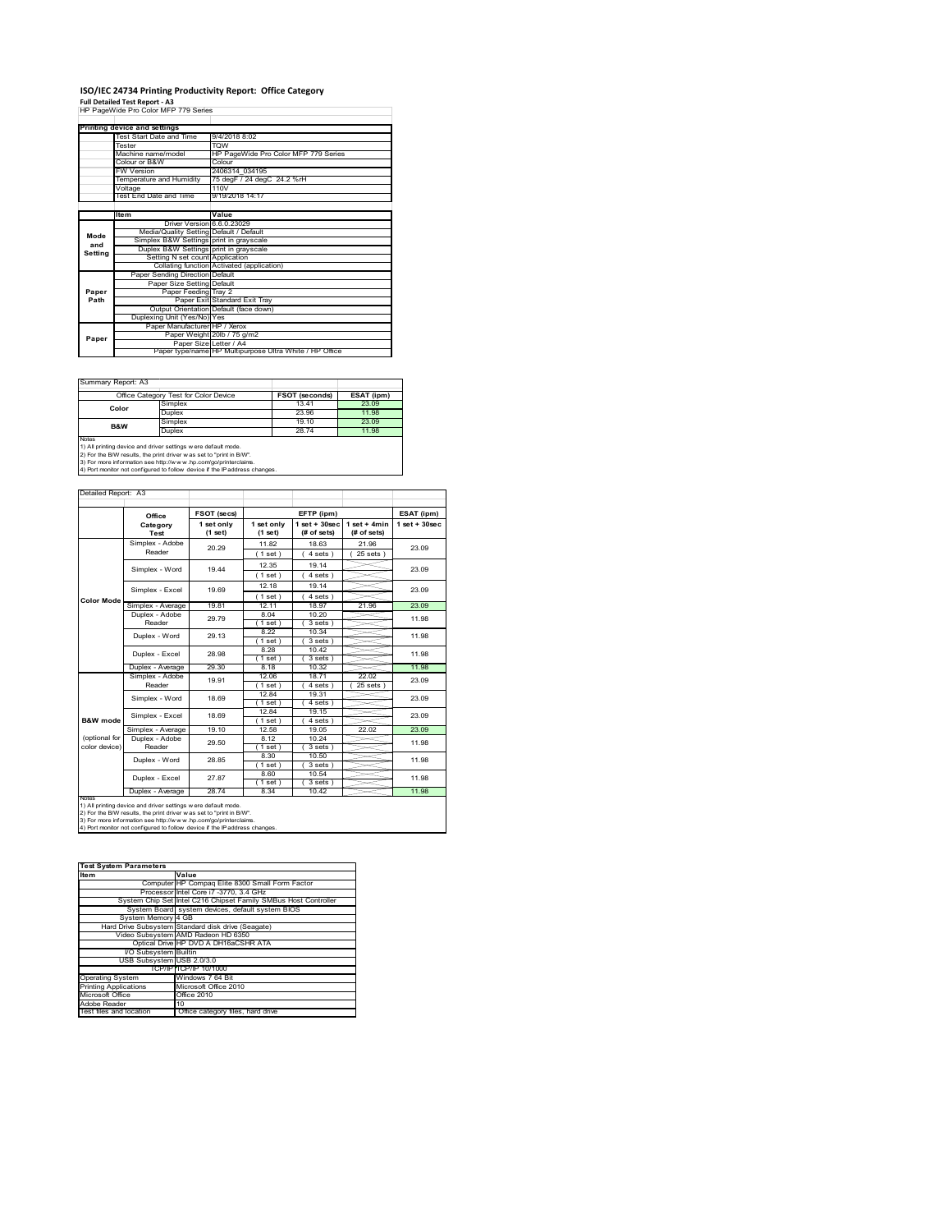## **ISO/IEC 24734 Printing Productivity Report: Office Category**

**Full Detailed Test Report ‐ A3** HP PageWide Pro Color MFP 779 Series

|         | Printing device and settings            |                                                         |
|---------|-----------------------------------------|---------------------------------------------------------|
|         | Test Start Date and Time                | 9/4/2018 8:02                                           |
|         | Tester                                  | <b>TOW</b>                                              |
|         | Machine name/model                      | HP PageWide Pro Color MFP 779 Series                    |
|         | Colour or B&W                           | Colour                                                  |
|         | <b>FW Version</b>                       | 2406314 034195                                          |
|         | Temperature and Humidity                | 75 degF / 24 degC 24.2 %rH                              |
|         | Voltage                                 | 110V                                                    |
|         | Test End Date and Time                  | 9/19/2018 14:17                                         |
|         |                                         |                                                         |
|         | ltem                                    | Value                                                   |
|         | Driver Version 6.6.0.23029              |                                                         |
| Mode    | Media/Quality Setting Default / Default |                                                         |
| and     | Simplex B&W Settings print in grayscale |                                                         |
| Setting | Duplex B&W Settings print in grayscale  |                                                         |
|         | Setting N set count Application         |                                                         |
|         |                                         | Collating function Activated (application)              |
|         | Paper Sending Direction Default         |                                                         |
|         | Paper Size Setting Default              |                                                         |
| Paper   | Paper Feeding Tray 2                    |                                                         |
| Path    |                                         | Paper Exit Standard Exit Tray                           |
|         |                                         | Output Orientation Default (face down)                  |
|         | Duplexing Unit (Yes/No) Yes             |                                                         |
|         | Paper Manufacturer HP / Xerox           |                                                         |
|         |                                         | Paper Weight 20lb / 75 g/m2                             |
| Paper   | Paper Size Letter / A4                  |                                                         |
|         |                                         | Paper type/name HP Multipurpose Ultra White / HP Office |

 $\overline{\phantom{a}}$ 

Summary Report: A3

|              | Office Category Test for Color Device                                                                                                 | <b>FSOT (seconds)</b> | ESAT (ipm) |
|--------------|---------------------------------------------------------------------------------------------------------------------------------------|-----------------------|------------|
| Color        | Simplex                                                                                                                               | 1341                  | 23.09      |
|              | Duplex                                                                                                                                | 23.96                 | 11.98      |
| B&W          | Simplex                                                                                                                               | 19.10                 | 23.09      |
|              | Duplex                                                                                                                                | 2874                  | 11.98      |
| <b>Notes</b> | 1) All printing device and driver settings w ere default mode.<br>2) For the B/W results, the print driver was set to "print in B/W". |                       |            |

2) For the B/W results, the print driver w as set to "print in B/W".<br>3) For more information see http://w w w .hp.com/go/printerclaims.<br>4) Port monitor not configured to follow device if the IP address changes.

| Detailed Report: A3            |                           |                       |                       |                                   |                               |                    |
|--------------------------------|---------------------------|-----------------------|-----------------------|-----------------------------------|-------------------------------|--------------------|
|                                |                           |                       |                       |                                   |                               |                    |
|                                | Office                    | FSOT (secs)           |                       | EFTP (ipm)                        |                               | ESAT (ipm)         |
|                                | Category<br>Test          | 1 set only<br>(1 set) | 1 set only<br>(1 set) | $1$ set + $30$ sec<br>(# of sets) | $1$ set + 4min<br>(# of sets) | $1$ set + $30$ sec |
|                                | Simplex - Adobe<br>Reader | 20.29                 | 11.82<br>(1 set)      | 18.63<br>$4 sets$ )               | 21.96<br>$25$ sets $)$        | 23.09              |
|                                | Simplex - Word            | 19 44                 | 12.35<br>(1 set)      | 19 14<br>4 sets)                  |                               | 23.09              |
|                                | Simplex - Excel           | 19.69                 | 12 18<br>(1 set)      | 19 14<br>4 sets)                  |                               | 23.09              |
| <b>Color Mode</b>              | Simplex - Average         | 19.81                 | 12.11                 | 18.97                             | 21.96                         | 23.09              |
|                                | Duplex - Adobe<br>Reader  | 29.79                 | 8.04<br>1 set         | 10 20<br>$3 sets$ )               |                               | 11.98              |
|                                | Duplex - Word             | 29 13                 | 8.22<br>1 set         | 10 34<br>3 sets)                  |                               | 11.98              |
|                                | Duplex - Excel            | 28.98                 | 8.28<br>$1$ set $)$   | 10.42<br>$3 sets$ )               |                               | 11.98              |
|                                | Duplex - Average          | 29.30                 | 8.18                  | 10.32                             |                               | 11.98              |
|                                | Simplex - Adobe<br>Reader | 19.91                 | 12.06<br>(1 set)      | 1871<br>4 sets)                   | 22.02<br>25 sets              | 23.09              |
|                                | Simplex - Word            | 18.69                 | 1284<br>$'1$ set)     | 19.31<br>4 sets)                  |                               | 23.09              |
| <b>B&amp;W</b> mode            | Simplex - Excel           | 18.69                 | 1284<br>(1 set)       | 19.15<br>4 sets)                  |                               | 23.09              |
|                                | Simplex - Average         | 19.10                 | 12.58                 | 19.05                             | 22.02                         | 23.09              |
| (optional for<br>color device) | Duplex - Adobe<br>Reader  | 29.50                 | 8.12<br>(1 set)       | 10.24<br>3 sets)                  |                               | 11.98              |
|                                | Duplex - Word             | 28.85                 | 8.30<br>$1$ set)      | 10.50<br>3 sets)                  |                               | 11.98              |
|                                | Duplex - Excel            | 27.87                 | 8.60<br>$1$ set)      | 10.54<br>$3 sets$ )               |                               | 11.98              |
|                                | Duplex - Average          | 28.74                 | 8.34                  | 10.42                             |                               | 11.98              |
| <b>NOtes</b>                   |                           |                       |                       |                                   |                               |                    |

notes<br>1) All printing device and driver settings were default mode.<br>2) For the B/W results, the print driver was set to "print in B/W".<br>3) For more information see http://www.hp.com/go/printerclaims.<br>4) Por monitor not con

| <b>Test System Parameters</b> |                                                                 |
|-------------------------------|-----------------------------------------------------------------|
| <b>Item</b>                   | Value                                                           |
|                               | Computer HP Compag Elite 8300 Small Form Factor                 |
|                               | Processor Intel Core i7 -3770, 3.4 GHz                          |
|                               | System Chip Set Intel C216 Chipset Family SMBus Host Controller |
|                               | System Board system devices, default system BIOS                |
| System Memory 4 GB            |                                                                 |
|                               | Hard Drive Subsystem Standard disk drive (Seagate)              |
|                               | Video Subsystem AMD Radeon HD 6350                              |
|                               | Optical Drive HP DVD A DH16aCSHR ATA                            |
| I/O Subsystem Builtin         |                                                                 |
| USB Subsystem USB 2.0/3.0     |                                                                 |
|                               | TCP/IP TCP/IP 10/1000                                           |
| <b>Operating System</b>       | Windows 7 64 Bit                                                |
| <b>Printing Applications</b>  | Microsoft Office 2010                                           |
| Microsoft Office              | Office 2010                                                     |
| Adobe Reader                  | 10                                                              |
| Test files and location       | Office category files, hard drive                               |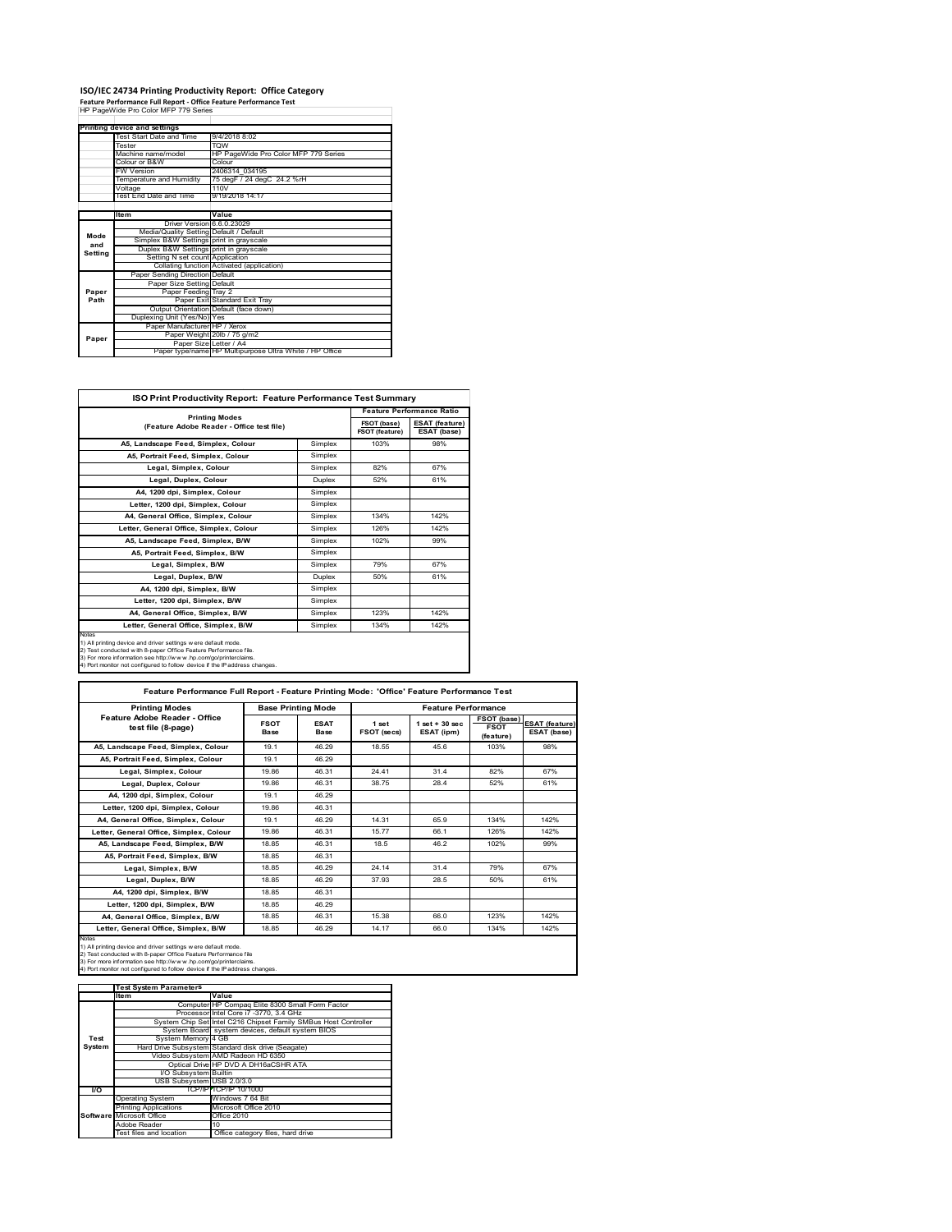# **ISO/IEC 24734 Printing Productivity Report: Office Category Feature Performance Full Report ‐ Office Feature Performance Test** HP PageWide Pro Color MFP 779 Series

|         | . catule reflormance run Report - Office reature reflormance rest<br>HP PageWide Pro Color MFP 779 Series |                                                         |
|---------|-----------------------------------------------------------------------------------------------------------|---------------------------------------------------------|
|         |                                                                                                           |                                                         |
|         | Printing device and settings                                                                              |                                                         |
|         | Test Start Date and Time                                                                                  | 9/4/2018 8:02                                           |
|         | Tester                                                                                                    | <b>TOW</b>                                              |
|         | Machine name/model                                                                                        | HP PageWide Pro Color MFP 779 Series                    |
|         | Colour or B&W                                                                                             | Colour                                                  |
|         | <b>FW Version</b>                                                                                         | 2406314 034195                                          |
|         | Temperature and Humidity                                                                                  | 75 degF / 24 degC 24.2 %rH                              |
|         | Voltage                                                                                                   | 110V                                                    |
|         | Test End Date and Time                                                                                    | 9/19/2018 14:17                                         |
|         |                                                                                                           |                                                         |
|         | <b>Item</b>                                                                                               | Value                                                   |
|         | Driver Version 6.6.0.23029                                                                                |                                                         |
| Mode    | Media/Quality Setting Default / Default                                                                   |                                                         |
| and     | Simplex B&W Settings print in grayscale                                                                   |                                                         |
| Setting | Duplex B&W Settings print in grayscale                                                                    |                                                         |
|         | Setting N set count Application                                                                           |                                                         |
|         |                                                                                                           | Collating function Activated (application)              |
|         | Paper Sending Direction Default                                                                           |                                                         |
|         | Paper Size Setting Default                                                                                |                                                         |
| Paper   | Paper Feeding Tray 2                                                                                      |                                                         |
| Path    |                                                                                                           | Paper Exit Standard Exit Tray                           |
|         |                                                                                                           | Output Orientation Default (face down)                  |
|         | Duplexing Unit (Yes/No) Yes                                                                               |                                                         |
|         | Paper Manufacturer HP / Xerox                                                                             |                                                         |
| Paper   |                                                                                                           | Paper Weight 20lb / 75 g/m2                             |
|         | Paper Size Letter / A4                                                                                    | Paper type/name HP Multipurpose Ultra White / HP Office |
|         |                                                                                                           |                                                         |

| <b>ISO Print Productivity Report: Feature Performance Test Summary</b>                                                                                                                                                                                                                      |               |                                      |                                      |
|---------------------------------------------------------------------------------------------------------------------------------------------------------------------------------------------------------------------------------------------------------------------------------------------|---------------|--------------------------------------|--------------------------------------|
| <b>Printing Modes</b>                                                                                                                                                                                                                                                                       |               |                                      | <b>Feature Performance Ratio</b>     |
| (Feature Adobe Reader - Office test file)                                                                                                                                                                                                                                                   |               | FSOT (base)<br><b>FSOT (feature)</b> | <b>ESAT (feature)</b><br>ESAT (base) |
| A5. Landscape Feed. Simplex. Colour                                                                                                                                                                                                                                                         | Simplex       | 103%                                 | 98%                                  |
| A5, Portrait Feed, Simplex, Colour                                                                                                                                                                                                                                                          | Simplex       |                                      |                                      |
| Legal, Simplex, Colour                                                                                                                                                                                                                                                                      | Simplex       | 82%                                  | 67%                                  |
| Legal, Duplex, Colour                                                                                                                                                                                                                                                                       | <b>Duplex</b> | 52%                                  | 61%                                  |
| A4, 1200 dpi, Simplex, Colour                                                                                                                                                                                                                                                               | Simplex       |                                      |                                      |
| Letter, 1200 dpi, Simplex, Colour                                                                                                                                                                                                                                                           | Simplex       |                                      |                                      |
| A4. General Office. Simplex. Colour                                                                                                                                                                                                                                                         | Simplex       | 134%                                 | 142%                                 |
| Letter, General Office, Simplex, Colour                                                                                                                                                                                                                                                     | Simplex       | 126%                                 | 142%                                 |
| A5. Landscape Feed. Simplex. B/W                                                                                                                                                                                                                                                            | Simplex       | 102%                                 | 99%                                  |
| A5, Portrait Feed, Simplex, B/W                                                                                                                                                                                                                                                             | Simplex       |                                      |                                      |
| Legal, Simplex, B/W                                                                                                                                                                                                                                                                         | Simplex       | 79%                                  | 67%                                  |
| Legal, Duplex, B/W                                                                                                                                                                                                                                                                          | <b>Duplex</b> | 50%                                  | 61%                                  |
| A4, 1200 dpi, Simplex, B/W                                                                                                                                                                                                                                                                  | Simplex       |                                      |                                      |
| Letter, 1200 dpi, Simplex, B/W                                                                                                                                                                                                                                                              | Simplex       |                                      |                                      |
| A4. General Office. Simplex. B/W                                                                                                                                                                                                                                                            | Simplex       | 123%                                 | 142%                                 |
| Letter, General Office, Simplex, B/W                                                                                                                                                                                                                                                        | Simplex       | 134%                                 | 142%                                 |
| Notes<br>1) All printing device and driver settings w ere default mode.<br>2) Test conducted with 8-paper Office Feature Performance file.<br>3) For more information see http://www.hp.com/go/printerclaims.<br>4) Port monitor not configured to follow device if the IP address changes. |               |                                      |                                      |

| <b>Printing Modes</b>                               | <b>Base Printing Mode</b> |                            | <b>Feature Performance</b>  |                                  |                                         |                                      |
|-----------------------------------------------------|---------------------------|----------------------------|-----------------------------|----------------------------------|-----------------------------------------|--------------------------------------|
| Feature Adobe Reader - Office<br>test file (8-page) | <b>FSOT</b><br>Base       | <b>ESAT</b><br><b>Base</b> | 1 set<br><b>FSOT (secs)</b> | $1$ set $+30$ sec.<br>ESAT (ipm) | FSOT (base)<br><b>FSOT</b><br>(feature) | <b>ESAT (feature)</b><br>ESAT (base) |
| A5. Landscape Feed. Simplex. Colour                 | 19 1                      | 46.29                      | 18.55                       | 456                              | 103%                                    | 98%                                  |
| A5, Portrait Feed, Simplex, Colour                  | 19 1                      | 46.29                      |                             |                                  |                                         |                                      |
| Legal, Simplex, Colour                              | 19.86                     | 46.31                      | 24 41                       | 314                              | 82%                                     | 67%                                  |
| Legal, Duplex, Colour                               | 19.86                     | 46.31                      | 38.75                       | 28.4                             | 52%                                     | 61%                                  |
| A4, 1200 dpi, Simplex, Colour                       | 19 1                      | 46.29                      |                             |                                  |                                         |                                      |
| Letter, 1200 dpi, Simplex, Colour                   | 19.86                     | 46.31                      |                             |                                  |                                         |                                      |
| A4. General Office. Simplex. Colour                 | 19 1                      | 46.29                      | 14 31                       | 65.9                             | 134%                                    | 142%                                 |
| Letter, General Office, Simplex, Colour             | 19.86                     | 46.31                      | 1577                        | 66.1                             | 126%                                    | 142%                                 |
| A5. Landscape Feed. Simplex. B/W                    | 18.85                     | 46.31                      | 18.5                        | 46.2                             | 102%                                    | 99%                                  |
| A5. Portrait Feed. Simplex. B/W                     | 18.85                     | 46.31                      |                             |                                  |                                         |                                      |
| Legal, Simplex, B/W                                 | 18.85                     | 46.29                      | 24 14                       | 31.4                             | 79%                                     | 67%                                  |
| Legal, Duplex, B/W                                  | 18.85                     | 46.29                      | 37.93                       | 28.5                             | 50%                                     | 61%                                  |
| A4. 1200 dpi. Simplex. B/W                          | 18.85                     | 46.31                      |                             |                                  |                                         |                                      |
| Letter, 1200 dpi, Simplex, B/W                      | 18.85                     | 46.29                      |                             |                                  |                                         |                                      |
| A4, General Office, Simplex, B/W                    | 18.85                     | 46.31                      | 15.38                       | 66.0                             | 123%                                    | 142%                                 |
| Letter, General Office, Simplex, B/W                | 18.85                     | 46.29                      | 14.17                       | 66.0                             | 134%                                    | 142%                                 |

Notes<br>1) All printing device and driver settings were default mode.<br>2) Test conducted with 8-paper Office Feature Performance file<br>3) For more information see http://www.hp.com/go/printerclaims.<br>4) Por monitor not configur

|           | <b>Test System Parameters</b> |                                                                 |
|-----------|-------------------------------|-----------------------------------------------------------------|
|           | lte m                         | Value                                                           |
|           |                               | Computer HP Compaq Elite 8300 Small Form Factor                 |
|           |                               | Processor Intel Core i7 -3770, 3.4 GHz                          |
|           |                               | System Chip Set Intel C216 Chipset Family SMBus Host Controller |
|           |                               | System Board system devices, default system BIOS                |
| Test      | System Memory 4 GB            |                                                                 |
| System    |                               | Hard Drive Subsystem Standard disk drive (Seagate)              |
|           |                               | Video Subsystem AMD Radeon HD 6350                              |
|           |                               | Optical Drive HP DVD A DH16aCSHR ATA                            |
|           | I/O Subsystem Builtin         |                                                                 |
|           | USB Subsystem USB 2.0/3.0     |                                                                 |
| <b>VO</b> |                               | TCP/IPITCP/IP 10/1000                                           |
|           | <b>Operating System</b>       | Windows 7 64 Bit                                                |
|           | <b>Printing Applications</b>  | Microsoft Office 2010                                           |
|           | Software Microsoft Office     | Office 2010                                                     |
|           | Adobe Reader                  | 10                                                              |
|           | Test files and location       | Office category files, hard drive                               |
|           |                               |                                                                 |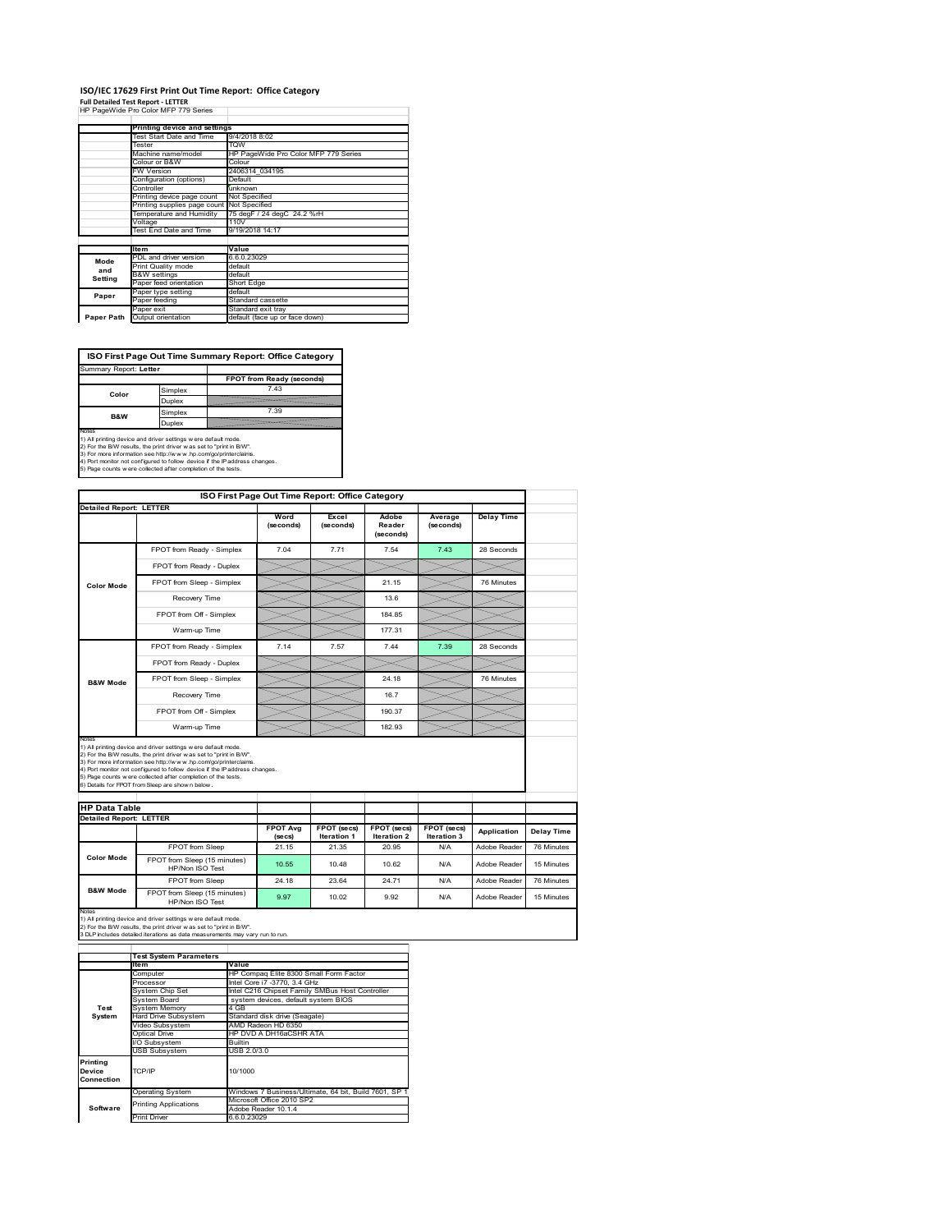#### **ISO/IEC 17629 First Print Out Time Report: Office Category Full Detailed Test Report ‐ LETTER** HP PageWide Pro Color MFP 779 Series h

|            | Printing device and settings |                                      |
|------------|------------------------------|--------------------------------------|
|            | Test Start Date and Time     | 9/4/2018 8:02                        |
|            | Tester                       | <b>TOW</b>                           |
|            | Machine name/model           | HP PageWide Pro Color MFP 779 Series |
|            | Colour or B&W                | Colour                               |
|            | <b>FW Version</b>            | 2406314 034195                       |
|            | Configuration (options)      | Default                              |
|            | Controller                   | unknown                              |
|            | Printing device page count   | Not Specified                        |
|            | Printing supplies page count | Not Specified                        |
|            | Temperature and Humidity     | 75 degF / 24 degC 24.2 %rH           |
|            | Voltage                      | 110V                                 |
|            | Test End Date and Time       | 9/19/2018 14:17                      |
|            |                              |                                      |
|            | <b>Item</b>                  | Value                                |
| Mode       | PDL and driver version       | 6.6.0.23029                          |
| and        | Print Quality mode           | default                              |
| Setting    | <b>B&amp;W</b> settings      | default                              |
|            | Paper feed orientation       | Short Edge                           |
| Paper      | Paper type setting           | default                              |
|            | Paper feeding                | Standard cassette                    |
|            | Paper exit                   | Standard exit tray                   |
| Paper Path | Output orientation           | default (face up or face down)       |

**ISO First Page Out Time Summary Report: Office Category**

| Summary Report: Letter |         |                           |
|------------------------|---------|---------------------------|
|                        |         | FPOT from Ready (seconds) |
| Color                  | Simplex | 7.43                      |
|                        | Duplex  |                           |
| B&W                    | Simplex | 7.39                      |
|                        | Duplex  |                           |
| Notes                  |         |                           |

Notes<br>1) All printing device and driver settings were default mode.<br>2) For the BW results, the print driver was set to "print in BW".<br>3) For more information see http://www.hp.com/golprinterclaims.<br>4) Port montor not confi

|                                |                                                                                                                                                                                                                                                                                                                                                                                                             | ISO First Page Out Time Report: Office Category |                                   |                              |                            |                   |
|--------------------------------|-------------------------------------------------------------------------------------------------------------------------------------------------------------------------------------------------------------------------------------------------------------------------------------------------------------------------------------------------------------------------------------------------------------|-------------------------------------------------|-----------------------------------|------------------------------|----------------------------|-------------------|
| <b>Detailed Report: LETTER</b> |                                                                                                                                                                                                                                                                                                                                                                                                             | Word<br>(seconds)                               | Excel<br>(seconds)                | Adobe<br>Reader<br>(seconds) | Average<br>(seconds)       | <b>Delay Time</b> |
|                                | FPOT from Ready - Simplex                                                                                                                                                                                                                                                                                                                                                                                   | 7.04                                            | 7.71                              | 7.54                         | 7.43                       | 28 Seconds        |
|                                | FPOT from Ready - Duplex                                                                                                                                                                                                                                                                                                                                                                                    |                                                 |                                   |                              |                            |                   |
| <b>Color Mode</b>              | FPOT from Sleep - Simplex                                                                                                                                                                                                                                                                                                                                                                                   |                                                 |                                   | 21.15                        |                            | 76 Minutes        |
|                                | Recovery Time                                                                                                                                                                                                                                                                                                                                                                                               |                                                 |                                   | 13.6                         |                            |                   |
|                                | FPOT from Off - Simplex                                                                                                                                                                                                                                                                                                                                                                                     |                                                 |                                   | 184 85                       |                            |                   |
|                                | Warm-up Time                                                                                                                                                                                                                                                                                                                                                                                                |                                                 |                                   | 177.31                       |                            |                   |
|                                | FPOT from Ready - Simplex                                                                                                                                                                                                                                                                                                                                                                                   | 7.14                                            | 7.57                              | 7.44                         | 7.39                       | 28 Seconds        |
|                                | FPOT from Ready - Duplex                                                                                                                                                                                                                                                                                                                                                                                    |                                                 |                                   |                              |                            |                   |
| <b>B&amp;W Mode</b>            | FPOT from Sleep - Simplex                                                                                                                                                                                                                                                                                                                                                                                   |                                                 |                                   | 24.18                        |                            | 76 Minutes        |
|                                |                                                                                                                                                                                                                                                                                                                                                                                                             |                                                 |                                   |                              |                            |                   |
|                                | Recovery Time                                                                                                                                                                                                                                                                                                                                                                                               |                                                 |                                   | 16.7                         |                            |                   |
|                                | FPOT from Off - Simplex                                                                                                                                                                                                                                                                                                                                                                                     |                                                 |                                   | 190.37                       |                            |                   |
| Notes                          | Warm-up Time                                                                                                                                                                                                                                                                                                                                                                                                |                                                 |                                   | 182.93                       |                            |                   |
| <b>HP Data Table</b>           | 1) All printing device and driver settings w ere default mode.<br>2) For the B/W results, the print driver was set to "print in B/W".<br>3) For more information see http://www.hp.com/go/printerclaims.<br>4) Port monitor not configured to follow device if the IP address changes.<br>5) Page counts w ere collected after completion of the tests.<br>6) Details for FPOT from Sleep are show n below. |                                                 |                                   |                              |                            |                   |
|                                |                                                                                                                                                                                                                                                                                                                                                                                                             |                                                 |                                   |                              |                            |                   |
| <b>Detailed Report: LETTER</b> |                                                                                                                                                                                                                                                                                                                                                                                                             | <b>FPOT Avg</b><br>$($ se $cs)$                 | FPOT (secs)<br><b>Iteration 1</b> | FPOT (secs)<br>Iteration 2   | FPOT (secs)<br>Iteration 3 | Application       |
|                                | FPOT from Sleep                                                                                                                                                                                                                                                                                                                                                                                             | 21.15                                           | 21.35                             | 20.95                        | N/A                        | Adobe Reader      |
| <b>Color Mode</b>              | FPOT from Sleep (15 minutes)<br>HP/Non ISO Test                                                                                                                                                                                                                                                                                                                                                             | 10.55                                           | 10.48                             | 10.62                        | N/A                        | Adobe Reader      |
| <b>B&amp;W Mode</b>            | FPOT from Sleep                                                                                                                                                                                                                                                                                                                                                                                             | 24.18                                           | 23.64                             | 24.71                        | N/A                        | Adobe Reader      |

Notes<br>1) All printing device and driver settings w ere default mode.<br>2) For the B/W results, the print driver w as set to "print in B/W".<br>3 DLP includes detailed iterations as data measurements may vary run to run.

|            | <b>Test System Parameters</b>                         |                                                       |  |  |
|------------|-------------------------------------------------------|-------------------------------------------------------|--|--|
|            | <b>Item</b>                                           | Value                                                 |  |  |
|            | Computer                                              | HP Compaq Elite 8300 Small Form Factor                |  |  |
|            | Processor                                             | Intel Core i7 -3770, 3.4 GHz                          |  |  |
|            | System Chip Set                                       | Intel C216 Chipset Family SMBus Host Controller       |  |  |
|            | System Board                                          | system devices, default system BIOS                   |  |  |
| Test       | <b>System Memory</b>                                  | 4 GB                                                  |  |  |
| System     | Hard Drive Subsystem<br>Standard disk drive (Seagate) |                                                       |  |  |
|            | Video Subsystem                                       | AMD Radeon HD 6350                                    |  |  |
|            | HP DVD A DH16aCSHR ATA<br>Optical Drive               |                                                       |  |  |
|            | I/O Subsystem                                         | <b>Builtin</b>                                        |  |  |
|            | <b>USB Subsystem</b>                                  | USB 2.0/3.0                                           |  |  |
| Printing   |                                                       |                                                       |  |  |
| Device     | TCP/IP                                                | 10/1000                                               |  |  |
| Connection |                                                       |                                                       |  |  |
|            | <b>Operating System</b>                               | Windows 7 Business/Ultimate, 64 bit, Build 7601, SP 1 |  |  |
|            | <b>Printing Applications</b>                          | Microsoft Office 2010 SP2                             |  |  |
| Software   |                                                       | Adobe Reader 10.1.4                                   |  |  |
|            | <b>Print Driver</b>                                   | 6.6.0.23029                                           |  |  |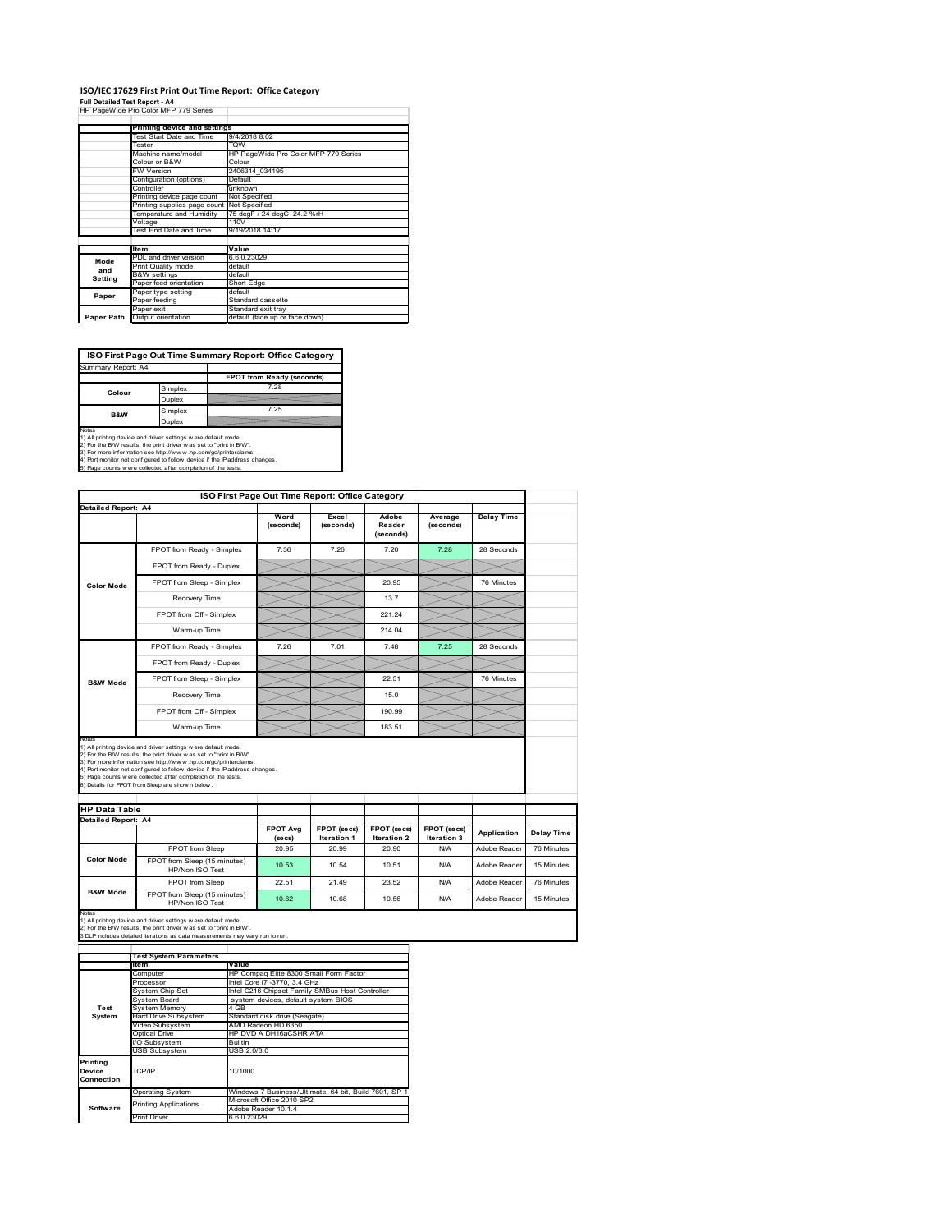## **ISO/IEC 17629 First Print Out Time Report: Office Category**

**Full Detailed Test Report ‐ A4** HP PageWide Pro Color MFP 779 Series

|            | Printing device and settings |                                      |
|------------|------------------------------|--------------------------------------|
|            | Test Start Date and Time     | 9/4/2018 8:02                        |
|            | Tester                       | <b>TOW</b>                           |
|            | Machine name/model           | HP PageWide Pro Color MFP 779 Series |
|            | Colour or B&W                | Colour                               |
|            | FW Version                   | 2406314 034195                       |
|            | Configuration (options)      | Default                              |
|            | Controller                   | unknown                              |
|            | Printing device page count   | Not Specified                        |
|            | Printing supplies page count | Not Specified                        |
|            | Temperature and Humidity     | 75 degF / 24 degC 24.2 %rH           |
|            | Voltage                      | 110V                                 |
|            | Test End Date and Time       | 9/19/2018 14:17                      |
|            |                              |                                      |
|            | <b>Item</b>                  | Value                                |
| Mode       | PDL and driver version       | 6.6.0.23029                          |
| and        | Print Quality mode           | default                              |
| Setting    | <b>B&amp;W</b> settings      | default                              |
|            | Paper feed orientation       | Short Edge                           |
| Paper      | Paper type setting           | default                              |
|            | Paper feeding                | Standard cassette                    |
|            | Paper exit                   | Standard exit tray                   |
| Paper Path | Output orientation           | default (face up or face down)       |

**ISO First Page Out Time Summary Report: Office Category**

| Summary Report: A4 |         |                           |
|--------------------|---------|---------------------------|
|                    |         | FPOT from Ready (seconds) |
| Colour             | Simplex | 7.28                      |
|                    | Duplex  |                           |
| <b>B&amp;W</b>     | Simplex | 7.25                      |
|                    | Duplex  |                           |
|                    |         |                           |

Notes<br>1) All printing device and driver settings were default mode.<br>2) For the BAV results, the print driver was set to "print in BAV".<br>3) For more information see http://www.hp.com/golprinterclaims.<br>4) Port monitor not co

|                                                             |                                                                                                                                                                                                                                                                                                                                                                                                             | ISO First Page Out Time Report: Office Category |                                   |                              |                                   |                   |            |
|-------------------------------------------------------------|-------------------------------------------------------------------------------------------------------------------------------------------------------------------------------------------------------------------------------------------------------------------------------------------------------------------------------------------------------------------------------------------------------------|-------------------------------------------------|-----------------------------------|------------------------------|-----------------------------------|-------------------|------------|
| <b>Detailed Report: A4</b>                                  |                                                                                                                                                                                                                                                                                                                                                                                                             | Word<br>(seconds)                               | Excel<br>(seconds)                | Adobe<br>Reader<br>(seconds) | Average<br>(seconds)              | <b>Delay Time</b> |            |
|                                                             | FPOT from Ready - Simplex                                                                                                                                                                                                                                                                                                                                                                                   | 7.36                                            | 7.26                              | 7.20                         | 7.28                              | 28 Seconds        |            |
|                                                             | FPOT from Ready - Duplex                                                                                                                                                                                                                                                                                                                                                                                    |                                                 |                                   |                              |                                   |                   |            |
| <b>Color Mode</b>                                           | FPOT from Sleep - Simplex                                                                                                                                                                                                                                                                                                                                                                                   |                                                 |                                   | 20.95                        |                                   | 76 Minutes        |            |
|                                                             | Recovery Time                                                                                                                                                                                                                                                                                                                                                                                               |                                                 |                                   | 13.7                         |                                   |                   |            |
|                                                             | FPOT from Off - Simplex                                                                                                                                                                                                                                                                                                                                                                                     |                                                 |                                   | 221.24                       |                                   |                   |            |
|                                                             | Warm-up Time                                                                                                                                                                                                                                                                                                                                                                                                |                                                 |                                   | 214.04                       |                                   |                   |            |
|                                                             | FPOT from Ready - Simplex                                                                                                                                                                                                                                                                                                                                                                                   | 7.26                                            | 7.01                              | 7.48                         | 7.25                              | 28 Seconds        |            |
|                                                             | FPOT from Ready - Duplex                                                                                                                                                                                                                                                                                                                                                                                    |                                                 |                                   |                              |                                   |                   |            |
| <b>B&amp;W Mode</b>                                         | FPOT from Sleep - Simplex                                                                                                                                                                                                                                                                                                                                                                                   |                                                 |                                   | 22.51                        |                                   | 76 Minutes        |            |
|                                                             | Recovery Time                                                                                                                                                                                                                                                                                                                                                                                               |                                                 |                                   | 150                          |                                   |                   |            |
|                                                             |                                                                                                                                                                                                                                                                                                                                                                                                             |                                                 |                                   |                              |                                   |                   |            |
|                                                             | FPOT from Off - Simplex                                                                                                                                                                                                                                                                                                                                                                                     |                                                 |                                   | 190.99                       |                                   |                   |            |
|                                                             | Warm-up Time                                                                                                                                                                                                                                                                                                                                                                                                |                                                 |                                   | 183.51                       |                                   |                   |            |
| Notes<br><b>HP Data Table</b><br><b>Detailed Report: A4</b> | 1) All printing device and driver settings w ere default mode.<br>2) For the B/W results, the print driver was set to "print in B/W".<br>3) For more information see http://www.hp.com/go/printerclaims.<br>4) Port monitor not configured to follow device if the IP address changes.<br>5) Page counts w ere collected after completion of the tests.<br>6) Details for FPOT from Sleep are show n below. |                                                 |                                   |                              |                                   |                   |            |
|                                                             |                                                                                                                                                                                                                                                                                                                                                                                                             | <b>FPOT Avg</b><br>(se cs)                      | FPOT (secs)<br><b>Iteration 1</b> | FPOT (secs)<br>Iteration 2   | FPOT (secs)<br><b>Iteration 3</b> | Application       | Delay Time |
|                                                             | FPOT from Sleep                                                                                                                                                                                                                                                                                                                                                                                             | 20.95                                           | 20.99                             | 20.90                        | N/A                               | Adobe Reader      | 76 Minutes |
| <b>Color Mode</b>                                           | FPOT from Sleep (15 minutes)<br>HP/Non ISO Test                                                                                                                                                                                                                                                                                                                                                             | 10.53                                           | 10.54                             | 10.51                        | N/A                               | Adobe Reader      | 15 Minutes |
| <b>B&amp;W Mode</b>                                         | FPOT from Sleep                                                                                                                                                                                                                                                                                                                                                                                             | 22.51                                           | 21.49                             | 23.52                        | N/A                               | Adobe Reader      | 76 Minutes |

|                                  | <b>Test System Parameters</b>           |                                                       |  |  |
|----------------------------------|-----------------------------------------|-------------------------------------------------------|--|--|
|                                  | lte m                                   | Value                                                 |  |  |
|                                  | Computer                                | HP Compag Elite 8300 Small Form Factor                |  |  |
|                                  | Processor                               | Intel Core i7 -3770, 3.4 GHz                          |  |  |
|                                  | System Chip Set                         | Intel C216 Chipset Family SMBus Host Controller       |  |  |
|                                  | System Board                            | system devices, default system BIOS                   |  |  |
| Test                             | <b>System Memory</b>                    | 4 GB                                                  |  |  |
| System                           | <b>Hard Drive Subsystem</b>             | Standard disk drive (Seagate)                         |  |  |
|                                  | Video Subsystem                         | AMD Radeon HD 6350                                    |  |  |
|                                  | HP DVD A DH16aCSHR ATA<br>Optical Drive |                                                       |  |  |
|                                  | I/O Subsystem                           | <b>Builtin</b>                                        |  |  |
|                                  | USB Subsystem                           | USB 2.0/3.0                                           |  |  |
| Printing<br>Device<br>Connection | TCP/IP                                  | 10/1000                                               |  |  |
|                                  | <b>Operating System</b>                 | Windows 7 Business/Ultimate, 64 bit, Build 7601, SP 1 |  |  |
|                                  | <b>Printing Applications</b>            | Microsoft Office 2010 SP2                             |  |  |
| Software                         |                                         | Adobe Reader 10.1.4                                   |  |  |
|                                  | <b>Print Driver</b>                     | 6.6.0.23029                                           |  |  |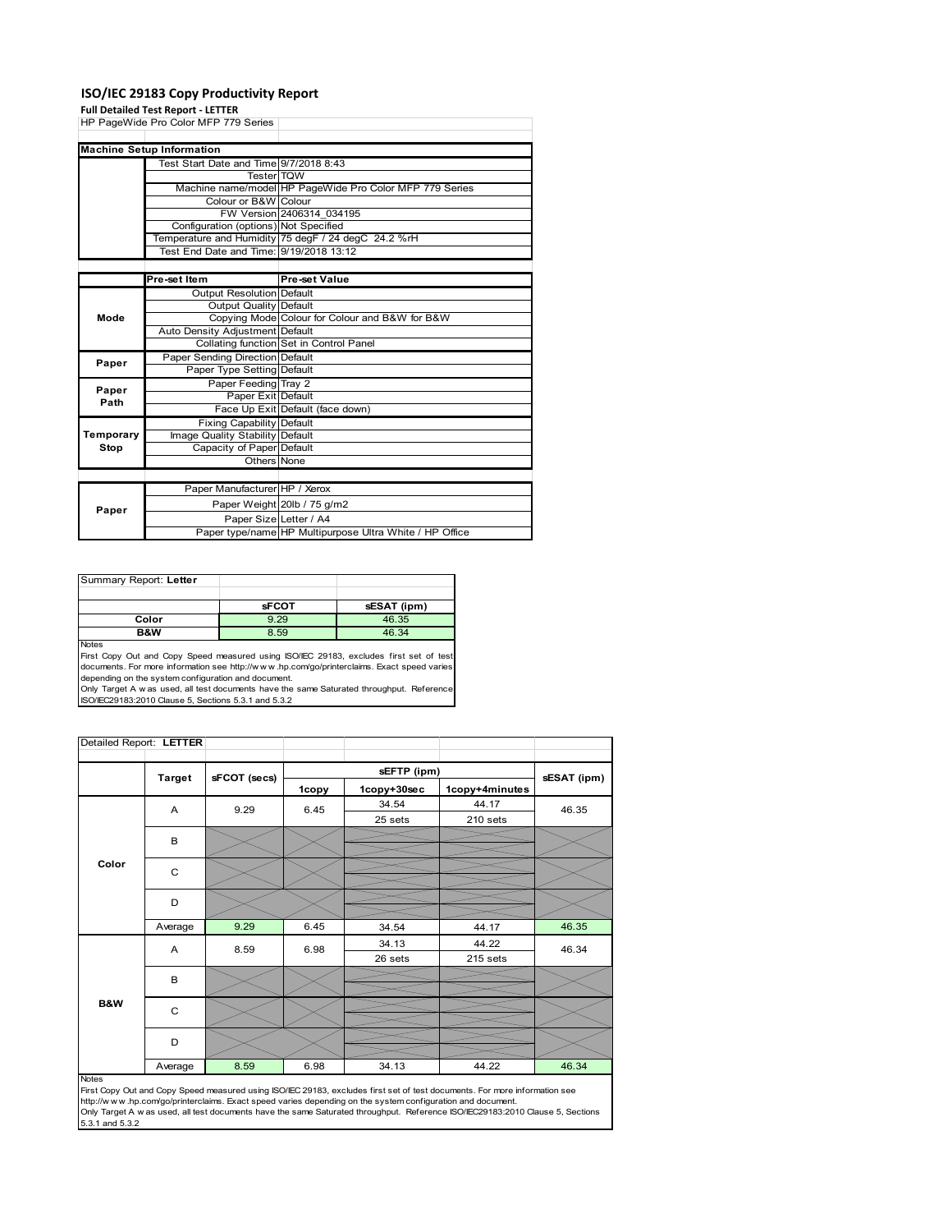### **ISO/IEC 29183 Copy Productivity Report**

#### **Full Detailed Test Report ‐ LETTER**

|           | HP PageWide Pro Color MFP 779 Series    |                                                         |
|-----------|-----------------------------------------|---------------------------------------------------------|
|           |                                         |                                                         |
|           | <b>Machine Setup Information</b>        |                                                         |
|           | Test Start Date and Time 9/7/2018 8:43  |                                                         |
|           | <b>Tester TQW</b>                       |                                                         |
|           |                                         | Machine name/model HP PageWide Pro Color MFP 779 Series |
|           | Colour or B&W Colour                    |                                                         |
|           |                                         | FW Version 2406314 034195                               |
|           | Configuration (options) Not Specified   |                                                         |
|           |                                         | Temperature and Humidity 75 degF / 24 degC 24.2 %rH     |
|           | Test End Date and Time: 9/19/2018 13:12 |                                                         |
|           |                                         |                                                         |
|           | Pre-set Item                            | Pre-set Value                                           |
|           | <b>Output Resolution Default</b>        |                                                         |
|           | Output Quality Default                  |                                                         |
| Mode      |                                         | Copying Mode Colour for Colour and B&W for B&W          |
|           | Auto Density Adjustment Default         |                                                         |
|           |                                         | Collating function Set in Control Panel                 |
| Paper     | Paper Sending Direction Default         |                                                         |
|           | Paper Type Setting Default              |                                                         |
| Paper     | Paper Feeding Tray 2                    |                                                         |
| Path      | Paper Exit Default                      |                                                         |
|           |                                         | Face Up Exit Default (face down)                        |
|           | <b>Fixing Capability Default</b>        |                                                         |
| Temporary | Image Quality Stability Default         |                                                         |
| Stop      | Capacity of Paper Default               |                                                         |
|           | Others None                             |                                                         |
|           |                                         |                                                         |
|           | Paper Manufacturer HP / Xerox           |                                                         |
| Paper     |                                         | Paper Weight 20lb / 75 g/m2                             |
|           | Paper Size Letter / A4                  |                                                         |
|           |                                         | Paper type/name HP Multipurpose Ultra White / HP Office |

Summary Report: **Letter sFCOT sESAT (ipm) Color 12.29 46.35<br>
<b>B&W** 8.59 46.34 **B&W** 8.59 46.34 Notes

First Copy Out and Copy Speed measured using ISO/IEC 29183, excludes first set of test documents. For more information see http://w w w .hp.com/go/printerclaims. Exact speed varies

depending on the system configuration and document.<br>Only Target A w as used, all test documents have the same Saturated throughput. Reference<br>ISO/IEC29183:2010 Clause 5, Sections 5.3.1 and 5.3.2

| Detailed Report: LETTER |               |              |       |             |                |             |
|-------------------------|---------------|--------------|-------|-------------|----------------|-------------|
|                         |               |              |       | sEFTP (ipm) |                |             |
|                         | <b>Target</b> | sFCOT (secs) | 1copy | 1copy+30sec | 1copy+4minutes | sESAT (ipm) |
|                         | A             | 9.29         | 6.45  | 34.54       | 44.17          | 46.35       |
|                         |               |              |       | 25 sets     | 210 sets       |             |
| Color                   | В             |              |       |             |                |             |
|                         | C             |              |       |             |                |             |
|                         |               |              |       |             |                |             |
|                         | D             |              |       |             |                |             |
|                         |               |              |       |             |                |             |
|                         | Average       | 9.29         | 6.45  | 34.54       | 44.17          | 46.35       |
|                         | A             | 8.59         | 6.98  | 34.13       | 44.22          | 46.34       |
|                         |               |              |       | 26 sets     | 215 sets       |             |
|                         | B             |              |       |             |                |             |
|                         |               |              |       |             |                |             |
| B&W                     | C             |              |       |             |                |             |
|                         | D             |              |       |             |                |             |
|                         | Average       | 8.59         | 6.98  | 34.13       | 44.22          | 46.34       |

#### Notes

First Copy Out and Copy Speed measured using ISO/IEC 29183, excludes first set of test documents. For more information see<br>http://w w w.hp.com/go/printerclaims. Exact speed varies depending on the system configuration and 5.3.1 and 5.3.2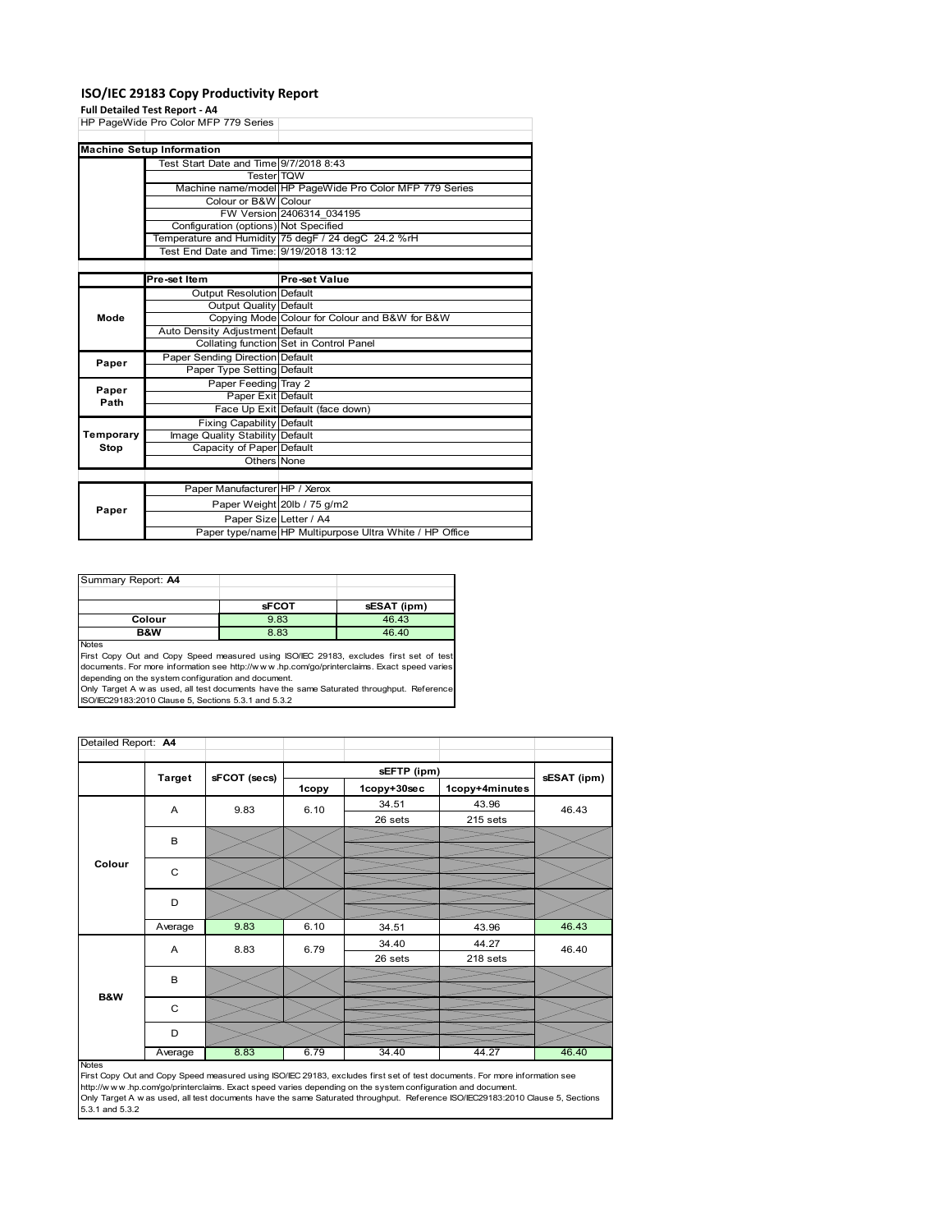### **ISO/IEC 29183 Copy Productivity Report**

#### **Full Detailed Test Report ‐ A4**

|           | HP PageWide Pro Color MFP 779 Series    |                                                         |
|-----------|-----------------------------------------|---------------------------------------------------------|
|           |                                         |                                                         |
|           | <b>Machine Setup Information</b>        |                                                         |
|           | Test Start Date and Time 9/7/2018 8:43  |                                                         |
|           | <b>Tester</b> TQW                       |                                                         |
|           |                                         | Machine name/model HP PageWide Pro Color MFP 779 Series |
|           | Colour or B&W Colour                    |                                                         |
|           |                                         | FW Version 2406314 034195                               |
|           | Configuration (options) Not Specified   |                                                         |
|           |                                         | Temperature and Humidity 75 degF / 24 degC 24.2 %rH     |
|           | Test End Date and Time: 9/19/2018 13:12 |                                                         |
|           |                                         |                                                         |
|           | Pre-set Item                            | <b>Pre-set Value</b>                                    |
|           | <b>Output Resolution Default</b>        |                                                         |
|           | Output Quality Default                  |                                                         |
| Mode      |                                         | Copying Mode Colour for Colour and B&W for B&W          |
|           | Auto Density Adjustment Default         |                                                         |
|           |                                         | Collating function Set in Control Panel                 |
| Paper     | Paper Sending Direction Default         |                                                         |
|           | Paper Type Setting Default              |                                                         |
| Paper     | Paper Feeding Tray 2                    |                                                         |
| Path      | Paper Exit Default                      |                                                         |
|           |                                         | Face Up Exit Default (face down)                        |
|           | <b>Fixing Capability Default</b>        |                                                         |
| Temporary | Image Quality Stability Default         |                                                         |
| Stop      | Capacity of Paper Default               |                                                         |
|           | Others None                             |                                                         |
|           |                                         |                                                         |
|           | Paper Manufacturer HP / Xerox           |                                                         |
| Paper     |                                         | Paper Weight 20lb / 75 g/m2                             |
|           | Paper Size Letter / A4                  |                                                         |
|           |                                         | Paper type/name HP Multipurpose Ultra White / HP Office |

| Summary Report: A4 |              |             |
|--------------------|--------------|-------------|
|                    |              |             |
|                    | <b>sFCOT</b> | sESAT (ipm) |
| Colour             | 9.83         | 46.43       |
| B&W                | 8.83         | 46.40       |
| <b>Notes</b>       |              |             |

Notes<br>First Copy Out and Copy Speed measured using ISO/IEC 29183, excludes first set of test<br>documents. For more information see http://www.hp.com/go/printerclaims. Exact speed varies<br>depending on the system configuration

| Detailed Report: A4 |               |              |       |             |                |             |
|---------------------|---------------|--------------|-------|-------------|----------------|-------------|
|                     |               |              |       | sEFTP (ipm) |                |             |
|                     | <b>Target</b> | sFCOT (secs) | 1copy | 1copy+30sec | 1copy+4minutes | sESAT (ipm) |
|                     | A             | 9.83         | 6.10  | 34.51       | 43.96          | 46.43       |
|                     |               |              |       | 26 sets     | 215 sets       |             |
|                     | B             |              |       |             |                |             |
|                     |               |              |       |             |                |             |
| Colour              | $\mathsf{C}$  |              |       |             |                |             |
|                     |               |              |       |             |                |             |
|                     | D             |              |       |             |                |             |
|                     |               |              |       |             |                |             |
|                     | Average       | 9.83         | 6.10  | 34.51       | 43.96          | 46.43       |
|                     | A             | 8.83         | 6.79  | 34.40       | 44.27          | 46.40       |
|                     |               |              |       | 26 sets     | 218 sets       |             |
|                     | B             |              |       |             |                |             |
| <b>B&amp;W</b>      |               |              |       |             |                |             |
|                     | C             |              |       |             |                |             |
|                     |               |              |       |             |                |             |
|                     | D             |              |       |             |                |             |
|                     | Average       | 8.83         | 6.79  | 34.40       | 44.27          | 46.40       |

Average 8.83 6.79 34.40 44.27 46.40<br>
First Copy Out and Copy Speed measured using ISO/IEC 29183, excludes first set of test documents. For more information see<br>
First://www.hp.com/go/printerclaims. Exact speed varies depen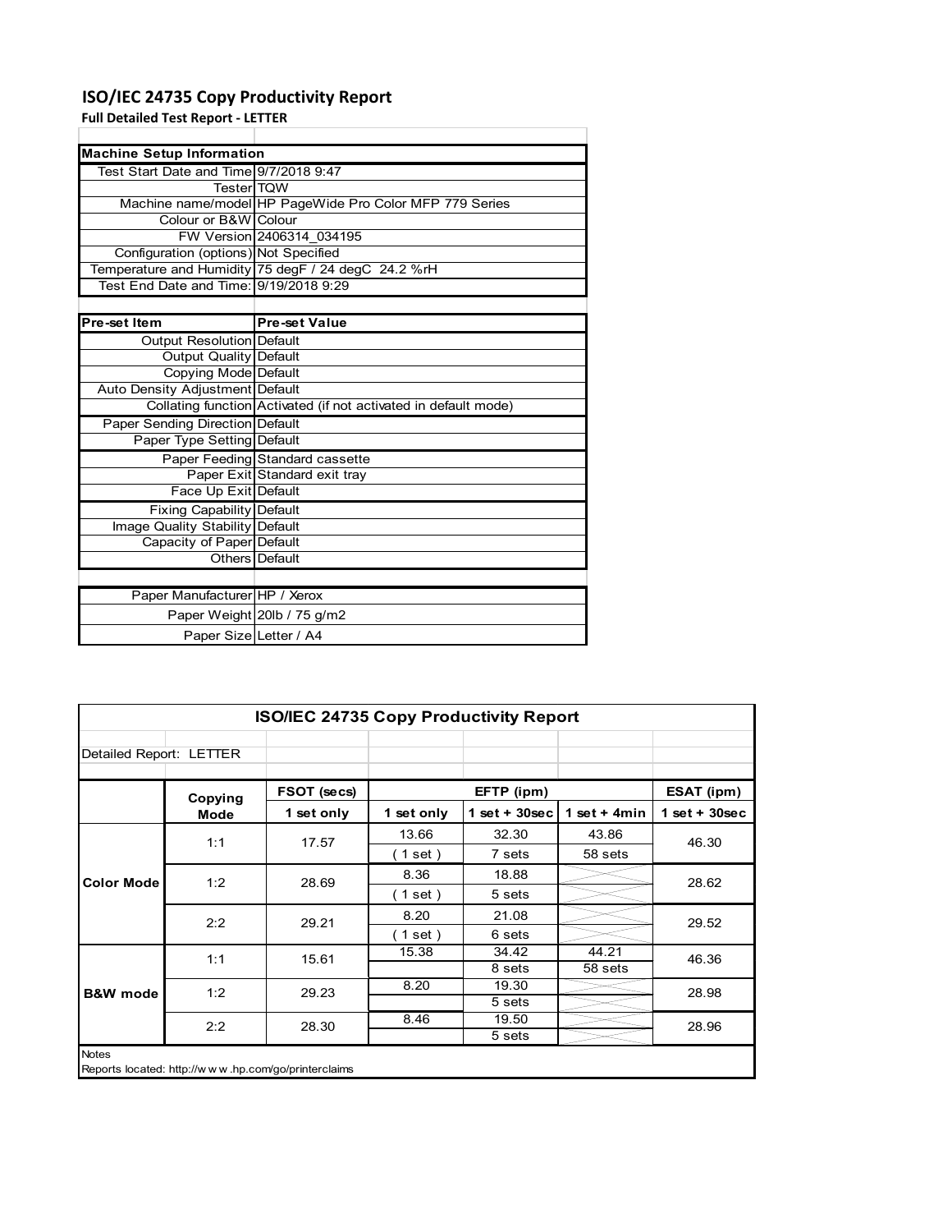### **ISO/IEC 24735 Copy Productivity Report**

**Full Detailed Test Report ‐ LETTER**

| <b>Machine Setup Information</b>       |                                                                 |  |  |  |
|----------------------------------------|-----------------------------------------------------------------|--|--|--|
| Test Start Date and Time 9/7/2018 9:47 |                                                                 |  |  |  |
| <b>Tester</b> TQW                      |                                                                 |  |  |  |
|                                        | Machine name/model HP PageWide Pro Color MFP 779 Series         |  |  |  |
| Colour or B&W Colour                   |                                                                 |  |  |  |
|                                        | FW Version 2406314 034195                                       |  |  |  |
| Configuration (options) Not Specified  |                                                                 |  |  |  |
|                                        | Temperature and Humidity 75 degF / 24 degC 24.2 %rH             |  |  |  |
| Test End Date and Time: 9/19/2018 9:29 |                                                                 |  |  |  |
|                                        |                                                                 |  |  |  |
| Pre-set Item                           | <b>Pre-set Value</b>                                            |  |  |  |
| Output Resolution Default              |                                                                 |  |  |  |
| <b>Output Quality Default</b>          |                                                                 |  |  |  |
| Copying Mode Default                   |                                                                 |  |  |  |
| Auto Density Adjustment Default        |                                                                 |  |  |  |
|                                        | Collating function Activated (if not activated in default mode) |  |  |  |
| <b>Paper Sending Direction Default</b> |                                                                 |  |  |  |
| Paper Type Setting Default             |                                                                 |  |  |  |
|                                        | Paper Feeding Standard cassette                                 |  |  |  |
|                                        | Paper Exit Standard exit tray                                   |  |  |  |
| Face Up Exit Default                   |                                                                 |  |  |  |
| Fixing Capability Default              |                                                                 |  |  |  |
| Image Quality Stability Default        |                                                                 |  |  |  |
| Capacity of Paper Default              |                                                                 |  |  |  |
|                                        | Others Default                                                  |  |  |  |
|                                        |                                                                 |  |  |  |
| Paper Manufacturer HP / Xerox          |                                                                 |  |  |  |
|                                        | Paper Weight 20lb / 75 g/m2                                     |  |  |  |
| Paper Size Letter / A4                 |                                                                 |  |  |  |

|                         | <b>ISO/IEC 24735 Copy Productivity Report</b> |                                                     |            |                  |                 |                 |  |
|-------------------------|-----------------------------------------------|-----------------------------------------------------|------------|------------------|-----------------|-----------------|--|
| Detailed Report: LETTER |                                               |                                                     |            |                  |                 |                 |  |
|                         | Copying                                       | FSOT (secs)                                         |            | EFTP (ipm)       |                 | ESAT (ipm)      |  |
|                         | <b>Mode</b>                                   | 1 set only                                          | 1 set only | 1 set + $30$ sec | 1 set $+$ 4 min | $1$ set + 30sec |  |
|                         | 1:1                                           | 17.57                                               | 13.66      | 32.30            | 43.86           | 46.30           |  |
| <b>Color Mode</b>       |                                               |                                                     | (1 set)    | 7 sets           | 58 sets         |                 |  |
|                         | 1:2                                           | 28.69                                               | 8.36       | 18.88            |                 | 28.62           |  |
|                         |                                               |                                                     | (1 set)    | 5 sets           |                 |                 |  |
|                         | 2:2                                           | 29.21                                               | 8.20       | 21.08            |                 | 29.52           |  |
|                         |                                               |                                                     | (1 set)    | 6 sets           |                 |                 |  |
|                         | 1:1                                           | 15.61                                               | 15.38      | 34.42            | 44.21           | 46.36           |  |
|                         |                                               |                                                     |            | 8 sets           | 58 sets         |                 |  |
| <b>B&amp;W</b> mode     | 1:2                                           | 29.23                                               | 8.20       | 19.30            |                 | 28.98           |  |
|                         |                                               |                                                     |            | 5 sets           |                 |                 |  |
|                         | 2:2                                           | 28.30                                               | 8.46       | 19.50            |                 | 28.96           |  |
|                         |                                               |                                                     |            | 5 sets           |                 |                 |  |
| <b>Notes</b>            |                                               | Reports located: http://www.hp.com/go/printerclaims |            |                  |                 |                 |  |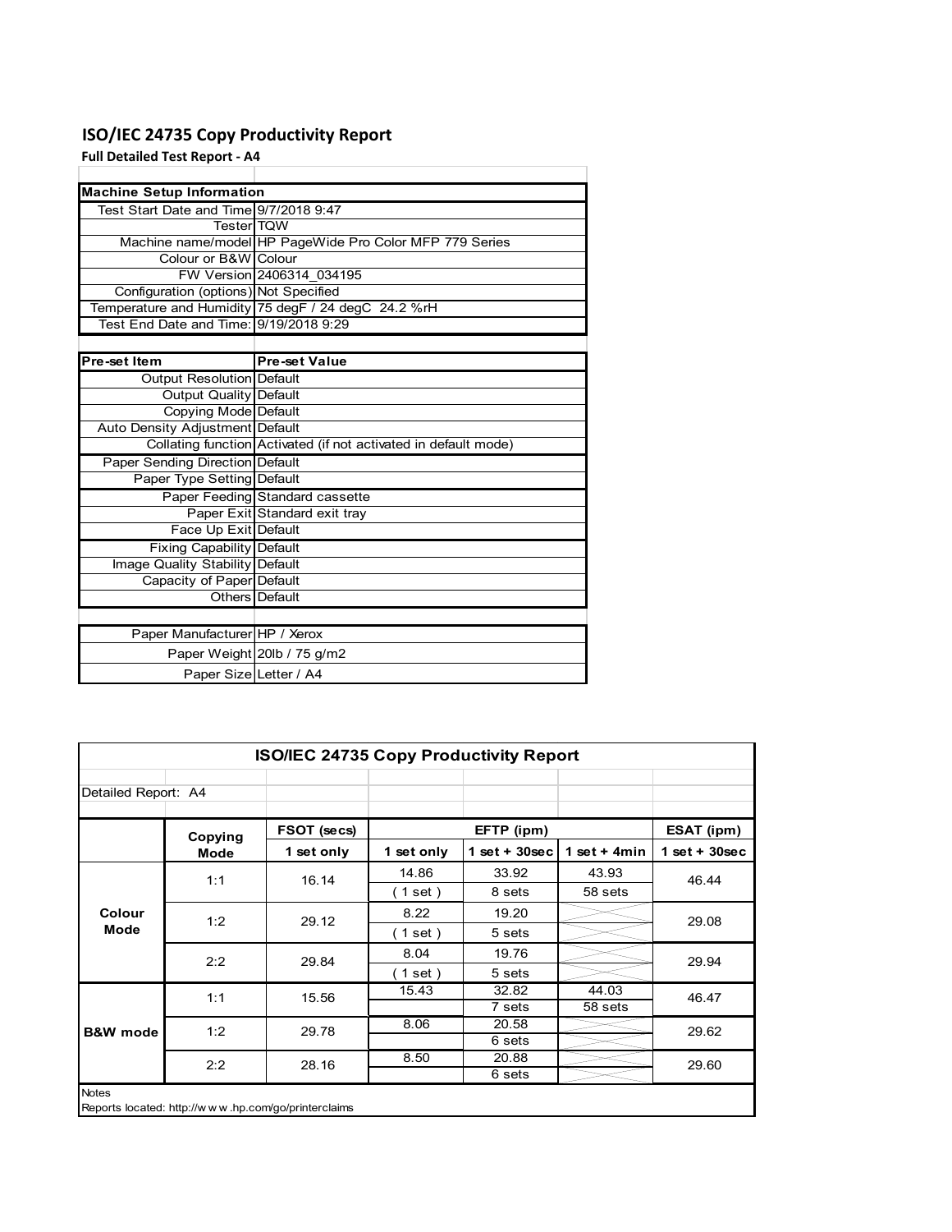### **ISO/IEC 24735 Copy Productivity Report**

**Full Detailed Test Report ‐ A4**

| <b>Machine Setup Information</b>       |                                                                 |
|----------------------------------------|-----------------------------------------------------------------|
| Test Start Date and Time 9/7/2018 9:47 |                                                                 |
| <b>TesterITQW</b>                      |                                                                 |
|                                        | Machine name/model HP PageWide Pro Color MFP 779 Series         |
| Colour or B&W Colour                   |                                                                 |
|                                        | FW Version 2406314 034195                                       |
| Configuration (options) Not Specified  |                                                                 |
|                                        | Temperature and Humidity 75 degF / 24 degC 24.2 %rH             |
| Test End Date and Time: 9/19/2018 9:29 |                                                                 |
|                                        |                                                                 |
| Pre-set Item                           | <b>Pre-set Value</b>                                            |
| Output Resolution Default              |                                                                 |
| <b>Output Quality Default</b>          |                                                                 |
| Copying Mode Default                   |                                                                 |
| Auto Density Adjustment Default        |                                                                 |
|                                        | Collating function Activated (if not activated in default mode) |
| Paper Sending Direction Default        |                                                                 |
| Paper Type Setting Default             |                                                                 |
|                                        | Paper Feeding Standard cassette                                 |
|                                        | Paper Exit Standard exit tray                                   |
| Face Up Exit Default                   |                                                                 |
| <b>Fixing Capability Default</b>       |                                                                 |
| Image Quality Stability Default        |                                                                 |
| Capacity of Paper Default              |                                                                 |
|                                        | Others   Default                                                |
|                                        |                                                                 |
| Paper Manufacturer HP / Xerox          |                                                                 |
|                                        | Paper Weight 20lb / 75 g/m2                                     |
| Paper Size Letter / A4                 |                                                                 |

| ISO/IEC 24735 Copy Productivity Report |                                                     |             |                          |                  |                 |                 |  |  |
|----------------------------------------|-----------------------------------------------------|-------------|--------------------------|------------------|-----------------|-----------------|--|--|
| Detailed Report: A4                    |                                                     |             |                          |                  |                 |                 |  |  |
|                                        | Copying                                             | FSOT (secs) |                          | EFTP (ipm)       |                 | ESAT (ipm)      |  |  |
|                                        | Mode                                                | 1 set only  | 1 set only               | 1 set + $30$ sec | 1 set $+$ 4 min | $1$ set + 30sec |  |  |
|                                        | 1:1                                                 | 16.14       | 14.86                    | 33.92            | 43.93           | 46.44           |  |  |
|                                        |                                                     |             | (1 set)                  | 8 sets           | 58 sets         |                 |  |  |
| Colour                                 | 1:2                                                 | 29.12       | 8.22                     | 19.20            |                 | 29.08           |  |  |
| Mode                                   |                                                     |             | $\left( 1$ set $\right)$ | 5 sets           |                 |                 |  |  |
|                                        | 2:2                                                 | 29.84       | 8.04                     | 19.76            |                 | 29.94           |  |  |
|                                        |                                                     |             | (1 set)                  | 5 sets           |                 |                 |  |  |
|                                        | 1:1                                                 | 15.56       | 15.43                    | 32.82            | 44.03           | 46.47           |  |  |
|                                        |                                                     |             |                          | 7 sets           | 58 sets         |                 |  |  |
| <b>B&amp;W</b> mode                    | 1:2                                                 | 29.78       | 8.06                     | 20.58            |                 | 29.62           |  |  |
|                                        |                                                     |             |                          | 6 sets           |                 |                 |  |  |
|                                        | 2:2                                                 | 28.16       | 8.50                     | 20.88            |                 | 29.60           |  |  |
|                                        |                                                     |             |                          | 6 sets           |                 |                 |  |  |
| <b>Notes</b>                           | Reports located: http://www.hp.com/go/printerclaims |             |                          |                  |                 |                 |  |  |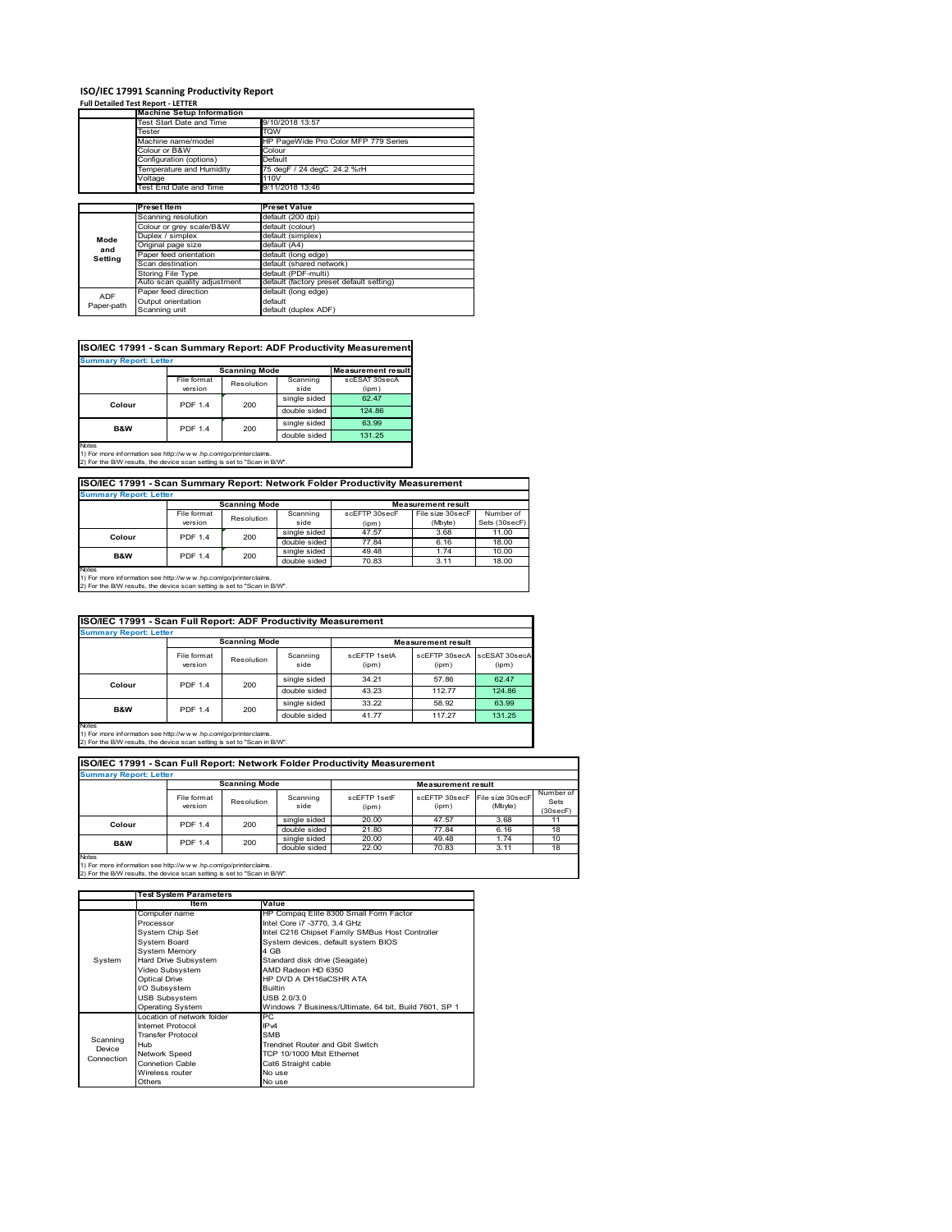# **ISO/IEC 17991 Scanning Productivity Report Full Detailed Test Report ‐ LETTER Machine Setup Information**

|            | <b>Machine Setup Information</b> |                                          |
|------------|----------------------------------|------------------------------------------|
|            | <b>Test Start Date and Time</b>  | 9/10/2018 13:57                          |
|            | Tester                           | TQW                                      |
|            | Machine name/model               | HP PageWide Pro Color MFP 779 Series     |
|            | Colour or B&W                    | Colour                                   |
|            | Configuration (options)          | Default                                  |
|            | emperature and Humidity          | 75 degF / 24 degC 24.2 %rH               |
|            | Voltage                          | 110V                                     |
|            | Test End Date and Time           | 9/11/2018 13:46                          |
|            |                                  |                                          |
|            | <b>Preset Item</b>               | <b>Preset Value</b>                      |
|            | Scanning resolution              | default (200 dpi)                        |
|            | Colour or grey scale/B&W         | default (colour)                         |
| Mode       | Duplex / simplex                 | default (simplex)                        |
| and        | Original page size               | default (A4)                             |
|            | Paper feed orientation           | default (long edge)                      |
| Setting    | Scan destination                 | default (shared network)                 |
|            | <b>Storing File Type</b>         | default (PDF-multi)                      |
|            | Auto scan quality adjustment     | default (factory preset default setting) |
| <b>ADF</b> | Paper feed direction             | default (long edge)                      |
|            | Output orientation               | default                                  |
| Paper-path | Scanning unit                    | default (duplex ADF)                     |

| ISO/IEC 17991 - Scan Summary Report: ADF Productivity Measurement |                |                      |              |                           |  |  |  |  |
|-------------------------------------------------------------------|----------------|----------------------|--------------|---------------------------|--|--|--|--|
| <b>Summary Report: Letter</b>                                     |                |                      |              |                           |  |  |  |  |
|                                                                   |                | <b>Scanning Mode</b> |              | <b>Measurement result</b> |  |  |  |  |
|                                                                   | File format    | Resolution           | Scanning     | scESAT 30secA             |  |  |  |  |
|                                                                   | version        |                      | side         | (ipm)                     |  |  |  |  |
| Colour                                                            | <b>PDF 1.4</b> | 200                  | single sided | 62.47                     |  |  |  |  |
|                                                                   |                |                      | double sided | 124.86                    |  |  |  |  |
| <b>B&amp;W</b>                                                    | <b>PDF 1.4</b> | 200                  | single sided | 63.99                     |  |  |  |  |
|                                                                   |                |                      |              | 131.25                    |  |  |  |  |
| <b>Notes</b>                                                      |                |                      |              |                           |  |  |  |  |

Notes 1) For more information see http://w w w .hp.com/go/printerclaims. 2) For the B/W results, the device scan setting is set to "Scan in B/W".

**ISO/IEC 17991 - Scan Summary Report: Network Folder Productivity Measurement**

| <b>Summary Report: Letter</b> |                      |            |              |                           |                  |               |
|-------------------------------|----------------------|------------|--------------|---------------------------|------------------|---------------|
|                               | <b>Scanning Mode</b> |            |              | <b>Measurement result</b> |                  |               |
|                               | File format          | Resolution | Scanning     | scEETP 30secE             | File size 30secF | Number of     |
|                               | version              |            | side         | (ipm)                     | (Mbyte)          | Sets (30secF) |
| Colour                        | <b>PDF 1.4</b>       | 200        | single sided | 47.57                     | 3.68             | 11.00         |
|                               |                      |            | double sided | 77.84                     | 6.16             | 18.00         |
| <b>B&amp;W</b>                | <b>PDF 1.4</b>       | 200        | single sided | 49.48                     | 1.74             | 10.00         |
|                               |                      |            | double sided | 70.83                     | 3.11             | 18.00         |
| <b>Notes</b>                  |                      |            |              |                           |                  |               |

┓

Notes 1) For more information see http://w w w .hp.com/go/printerclaims. 2) For the B/W results, the device scan setting is set to "Scan in B/W".

| ISO/IEC 17991 - Scan Full Report: ADF Productivity Measurement |                        |                      |                  |                       |                           |                        |  |  |
|----------------------------------------------------------------|------------------------|----------------------|------------------|-----------------------|---------------------------|------------------------|--|--|
| <b>Summary Report: Letter</b>                                  |                        |                      |                  |                       |                           |                        |  |  |
|                                                                |                        | <b>Scanning Mode</b> |                  |                       | <b>Measurement result</b> |                        |  |  |
|                                                                | File format<br>version | Resolution           | Scanning<br>side | scEFTP 1setA<br>(ipm) | scEFTP 30secA<br>(ipm)    | scESAT 30secA<br>(ipm) |  |  |
| Colour                                                         | <b>PDF 1.4</b>         | 200                  | single sided     | 34.21                 | 57.86                     | 62.47                  |  |  |
|                                                                |                        |                      | double sided     | 43.23                 | 112.77                    | 124.86                 |  |  |
|                                                                | <b>PDF 1.4</b>         | 200                  | single sided     | 33.22                 | 58.92                     | 63.99                  |  |  |
| B&W                                                            |                        |                      | double sided     | 41.77                 | 117.27                    | 131.25                 |  |  |
| <b>Notes</b>                                                   |                        |                      |                  |                       |                           |                        |  |  |

Notes 1) For more information see http://w w w .hp.com/go/printerclaims. 2) For the B/W results, the device scan setting is set to "Scan in B/W".

| ISO/IEC 17991 - Scan Full Report: Network Folder Productivity Measurement |                        |            |                  |                       |                        |                             |                               |  |
|---------------------------------------------------------------------------|------------------------|------------|------------------|-----------------------|------------------------|-----------------------------|-------------------------------|--|
| <b>Summary Report: Letter</b>                                             |                        |            |                  |                       |                        |                             |                               |  |
| <b>Scanning Mode</b><br><b>Measurement result</b>                         |                        |            |                  |                       |                        |                             |                               |  |
|                                                                           | File format<br>version | Resolution | Scanning<br>side | scEETP 1setE<br>(ipm) | scEFTP 30secF<br>(ipm) | File size 30secF<br>(Mbyte) | Number of<br>Sets<br>(30secF) |  |
| Colour                                                                    | PDF 1.4                | 200        | single sided     | 20.00                 | 47.57                  | 3.68                        | 11                            |  |
|                                                                           |                        |            | double sided     | 21.80                 | 77.84                  | 6.16                        | 18                            |  |
| <b>B&amp;W</b>                                                            | <b>PDF 1.4</b>         | 200        | single sided     | 20.00                 | 49.48                  | 1.74                        | 10                            |  |
|                                                                           |                        |            | double sided     | 22.00                 | 70.83                  | 3.11                        | 18                            |  |
| <b>Notes</b>                                                              |                        |            |                  |                       |                        |                             |                               |  |

|            | <b>Test System Parameters</b> |                                                       |  |  |  |
|------------|-------------------------------|-------------------------------------------------------|--|--|--|
|            | Item                          | Value                                                 |  |  |  |
|            | Computer name                 | HP Compaq Elite 8300 Small Form Factor                |  |  |  |
|            | Processor                     | Intel Core i7 -3770, 3.4 GHz                          |  |  |  |
|            | System Chip Set               | Intel C216 Chipset Family SMBus Host Controller       |  |  |  |
|            | <b>System Board</b>           | System devices, default system BIOS                   |  |  |  |
|            | <b>System Memory</b>          | 4 GB                                                  |  |  |  |
| System     | Hard Drive Subsystem          | Standard disk drive (Seagate)                         |  |  |  |
|            | Video Subsystem               | AMD Radeon HD 6350                                    |  |  |  |
|            | Optical Drive                 | HP DVD A DH16aCSHR ATA                                |  |  |  |
|            | I/O Subsystem                 | <b>Builtin</b>                                        |  |  |  |
|            | <b>USB Subsystem</b>          | USB 2.0/3.0                                           |  |  |  |
|            | Operating System              | Windows 7 Business/Ultimate, 64 bit, Build 7601, SP 1 |  |  |  |
|            | I ocation of network folder   | PC                                                    |  |  |  |
|            | Internet Protocol             | IP <sub>v4</sub>                                      |  |  |  |
| Scanning   | <b>Transfer Protocol</b>      | <b>SMB</b>                                            |  |  |  |
| Device     | Hub                           | Trendnet Router and Gbit Switch                       |  |  |  |
| Connection | Network Speed                 | TCP 10/1000 Mbit Ethernet                             |  |  |  |
|            | <b>Connetion Cable</b>        | Cat6 Straight cable                                   |  |  |  |
|            | Wireless router               | No use                                                |  |  |  |
|            | Others                        | No use                                                |  |  |  |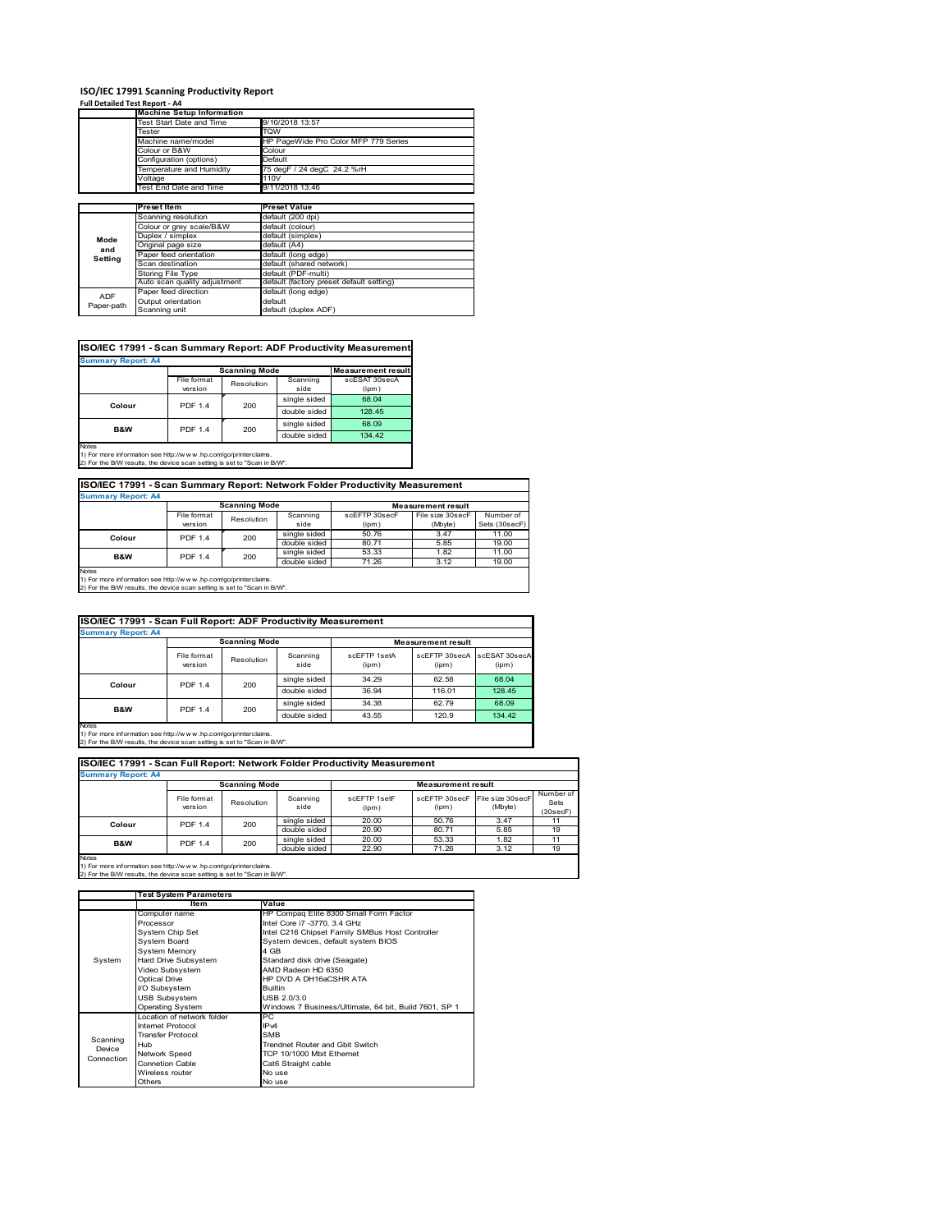#### **ISO/IEC 17991 Scanning Productivity Report**

### **Full Detailed Test Report ‐ A4**

|            | <b>Machine Setup Information</b> |                                          |
|------------|----------------------------------|------------------------------------------|
|            | Test Start Date and Time         | 9/10/2018 13:57                          |
|            | Tester                           | TQW                                      |
|            | Machine name/model               | HP PageWide Pro Color MFP 779 Series     |
|            | Colour or B&W                    | Colour                                   |
|            | Configuration (options)          | Default                                  |
|            | Temperature and Humidity         | 75 degF / 24 degC 24.2 %rH               |
|            | Voltage                          | 110V                                     |
|            | Test End Date and Time           | 9/11/2018 13:46                          |
|            |                                  |                                          |
|            | <b>Preset Item</b>               | <b>Preset Value</b>                      |
|            | Scanning resolution              | default (200 dpi)                        |
|            | Colour or grey scale/B&W         | default (colour)                         |
| Mode       | Duplex / simplex                 | default (simplex)                        |
| and        | Original page size               | default (A4)                             |
| Setting    | Paper feed orientation           | default (long edge)                      |
|            | Scan destination                 | default (shared network)                 |
|            | Storing File Type                | default (PDF-multi)                      |
|            | Auto scan quality adjustment     | default (factory preset default setting) |
| <b>ADF</b> | Paper feed direction             | default (long edge)                      |
|            | Output orientation               | default                                  |
| Paper-path | Scanning unit                    | default (duplex ADF)                     |

| ISO/IEC 17991 - Scan Summary Report: ADF Productivity Measurement |                |                      |              |                           |  |  |  |  |
|-------------------------------------------------------------------|----------------|----------------------|--------------|---------------------------|--|--|--|--|
| <b>Summary Report: A4</b>                                         |                |                      |              |                           |  |  |  |  |
|                                                                   |                | <b>Scanning Mode</b> |              | <b>Measurement result</b> |  |  |  |  |
|                                                                   | File format    | Resolution           | Scanning     | scESAT 30secA             |  |  |  |  |
|                                                                   | version        |                      | side         | (ipm)                     |  |  |  |  |
| Colour                                                            | <b>PDF 1.4</b> | 200                  | single sided | 68.04                     |  |  |  |  |
|                                                                   |                |                      | double sided | 128.45                    |  |  |  |  |
| <b>B&amp;W</b>                                                    | <b>PDF 1.4</b> | 200                  | single sided | 68.09                     |  |  |  |  |
|                                                                   |                |                      | double sided | 134.42                    |  |  |  |  |
| Notes                                                             |                |                      |              |                           |  |  |  |  |

Notes 1) For more information see http://w w w .hp.com/go/printerclaims. 2) For the B/W results, the device scan setting is set to "Scan in B/W".

**ISO/IEC 17991 - Scan Summary Report: Network Folder Productivity Measurement Summary Report: A4**

| <b>BUTTHIS THE BUILDER</b> |                          |                      |              |                           |                  |               |
|----------------------------|--------------------------|----------------------|--------------|---------------------------|------------------|---------------|
|                            |                          | <b>Scanning Mode</b> |              | <b>Measurement result</b> |                  |               |
|                            | File format              | Resolution           | Scanning     | scEFTP 30secF             | File size 30secF | Number of     |
|                            | version                  |                      | side         | (ipm)                     | (Mbyte)          | Sets (30secF) |
|                            | <b>PDF 1.4</b><br>Colour | 200                  | single sided | 50.76                     | 3.47             | 11.00         |
|                            |                          |                      | double sided | 80.71                     | 5.85             | 19.00         |
| <b>B&amp;W</b>             | <b>PDF 1.4</b>           | 200                  | single sided | 53.33                     | 1.82             | 11.00         |
|                            |                          |                      | double sided | 71.26                     | 3.12             | 19.00         |
| <b>Notes</b>               |                          |                      |              |                           |                  |               |

Notes 1) For more information see http://w w w .hp.com/go/printerclaims. 2) For the B/W results, the device scan setting is set to "Scan in B/W".

| ISO/IEC 17991 - Scan Full Report: ADF Productivity Measurement |                        |                      |                  |                       |                           |                        |  |  |
|----------------------------------------------------------------|------------------------|----------------------|------------------|-----------------------|---------------------------|------------------------|--|--|
| <b>Summary Report: A4</b>                                      |                        |                      |                  |                       |                           |                        |  |  |
|                                                                |                        | <b>Scanning Mode</b> |                  |                       | <b>Measurement result</b> |                        |  |  |
|                                                                | File format<br>version | Resolution           | Scanning<br>side | scFFTP 1setA<br>(ipm) | scEFTP 30secA<br>(ipm)    | scESAT 30secA<br>(ipm) |  |  |
|                                                                | <b>PDF 1.4</b>         | 200                  | single sided     | 34.29                 | 62.58                     | 68.04                  |  |  |
| Colour                                                         |                        |                      | double sided     | 36.94                 | 116.01                    | 128.45                 |  |  |
| <b>B&amp;W</b>                                                 | <b>PDF 1.4</b>         | 200                  | single sided     | 34.38                 | 62.79                     | 68.09                  |  |  |
|                                                                |                        |                      | double sided     | 43.55                 | 120.9                     | 134.42                 |  |  |
| Notes                                                          |                        |                      |                  |                       |                           |                        |  |  |

Notes 1) For more information see http://w w w .hp.com/go/printerclaims. 2) For the B/W results, the device scan setting is set to "Scan in B/W".

| ISO/IEC 17991 - Scan Full Report: Network Folder Productivity Measurement |                        |            |                  |                       |                           |                             |                               |  |  |  |
|---------------------------------------------------------------------------|------------------------|------------|------------------|-----------------------|---------------------------|-----------------------------|-------------------------------|--|--|--|
| <b>Summary Report: A4</b>                                                 |                        |            |                  |                       |                           |                             |                               |  |  |  |
| <b>Scanning Mode</b>                                                      |                        |            |                  |                       | <b>Measurement result</b> |                             |                               |  |  |  |
|                                                                           | File format<br>version | Resolution | Scanning<br>side | scEFTP 1setF<br>(ipm) | scEFTP 30secF<br>(ipm)    | File size 30secF<br>(Mbyte) | Number of<br>Sets<br>(30secF) |  |  |  |
| Colour                                                                    | <b>PDF 1.4</b>         | 200        | single sided     | 20.00                 | 50.76                     | 3.47                        |                               |  |  |  |
|                                                                           |                        |            | double sided     | 20.90                 | 80.71                     | 5.85                        | 19                            |  |  |  |
| <b>B&amp;W</b>                                                            | <b>PDF 1.4</b>         | 200        | single sided     | 20.00                 | 53.33                     | 1.82                        | 11                            |  |  |  |
|                                                                           |                        |            | double sided     | 22.90                 | 71.26                     | 3.12                        | 19                            |  |  |  |
| <b>Notes</b>                                                              |                        |            |                  |                       |                           |                             |                               |  |  |  |

|            | <b>Test System Parameters</b> |                                                       |  |  |  |
|------------|-------------------------------|-------------------------------------------------------|--|--|--|
|            | Item                          | Value                                                 |  |  |  |
|            | Computer name                 | HP Compaq Elite 8300 Small Form Factor                |  |  |  |
|            | Processor                     | Intel Core i7 -3770, 3.4 GHz                          |  |  |  |
|            | System Chip Set               | Intel C216 Chipset Family SMBus Host Controller       |  |  |  |
|            | <b>System Board</b>           | System devices, default system BIOS                   |  |  |  |
|            | <b>System Memory</b>          | 4 GB                                                  |  |  |  |
| System     | Hard Drive Subsystem          | Standard disk drive (Seagate)                         |  |  |  |
|            | Video Subsystem               | AMD Radeon HD 6350                                    |  |  |  |
|            | <b>Optical Drive</b>          | HP DVD A DH16aCSHR ATA                                |  |  |  |
|            | I/O Subsystem                 | <b>Builtin</b>                                        |  |  |  |
|            | <b>USB Subsystem</b>          | USB 2.0/3.0                                           |  |  |  |
|            | <b>Operating System</b>       | Windows 7 Business/Ultimate, 64 bit, Build 7601, SP 1 |  |  |  |
|            | I ocation of network folder   | PC.                                                   |  |  |  |
|            | Internet Protocol             | IP <sub>v4</sub>                                      |  |  |  |
| Scanning   | <b>Transfer Protocol</b>      | <b>SMB</b>                                            |  |  |  |
| Device     | Hub                           | Trendnet Router and Gbit Switch                       |  |  |  |
| Connection | Network Speed                 | TCP 10/1000 Mbit Ethernet                             |  |  |  |
|            | <b>Connetion Cable</b>        | Cat6 Straight cable                                   |  |  |  |
|            | Wireless router               | No use                                                |  |  |  |
|            | Others                        | No use                                                |  |  |  |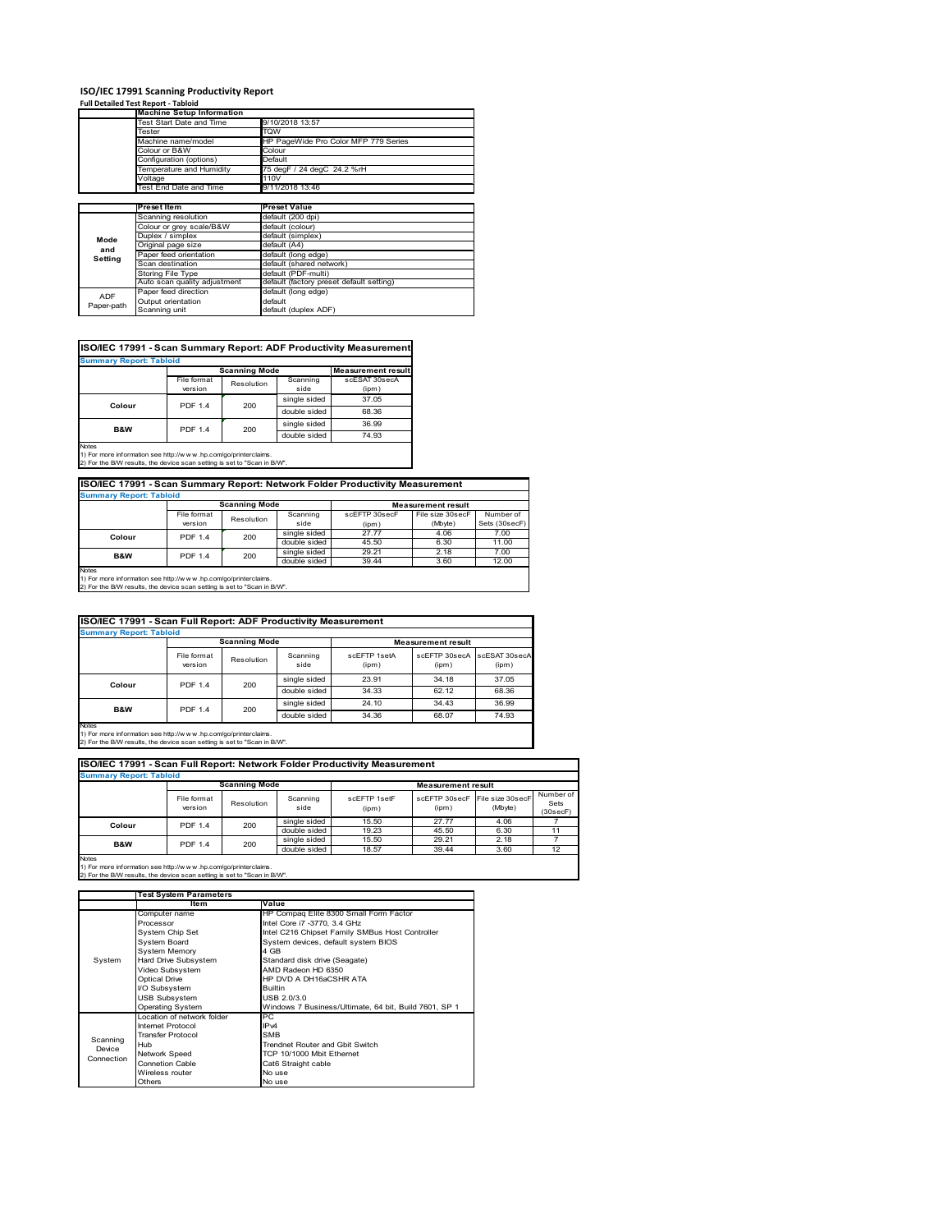# **ISO/IEC 17991 Scanning Productivity Report Full Detailed Test Report ‐ Tabloid Machine Setup Information**

|            | <b>Machine Setup Information</b> |                                          |  |  |  |  |
|------------|----------------------------------|------------------------------------------|--|--|--|--|
|            | Test Start Date and Time         | 9/10/2018 13:57                          |  |  |  |  |
|            | Tester                           | TQW                                      |  |  |  |  |
|            | Machine name/model               | HP PageWide Pro Color MFP 779 Series     |  |  |  |  |
|            | Colour or B&W                    | Colour                                   |  |  |  |  |
|            | Configuration (options)          | Default                                  |  |  |  |  |
|            | Temperature and Humidity         | 75 degF / 24 degC 24.2 %rH               |  |  |  |  |
|            | Voltage                          | 110V                                     |  |  |  |  |
|            | Test End Date and Time           | 9/11/2018 13:46                          |  |  |  |  |
|            |                                  |                                          |  |  |  |  |
|            | Preset Item                      | <b>Preset Value</b>                      |  |  |  |  |
|            | Scanning resolution              | default (200 dpi)                        |  |  |  |  |
|            | Colour or grey scale/B&W         | default (colour)                         |  |  |  |  |
| Mode       | Duplex / simplex                 | default (simplex)                        |  |  |  |  |
| and        | Original page size               | default (A4)                             |  |  |  |  |
| Setting    | Paper feed orientation           | default (long edge)                      |  |  |  |  |
|            | Scan destination                 | default (shared network)                 |  |  |  |  |
|            | Storing File Type                | default (PDF-multi)                      |  |  |  |  |
|            | Auto scan quality adjustment     | default (factory preset default setting) |  |  |  |  |
| <b>ADF</b> | Paper feed direction             | default (long edge)                      |  |  |  |  |
|            | Output orientation               | default                                  |  |  |  |  |
| Paper-path | Scanning unit                    | default (duplex ADF)                     |  |  |  |  |

| <b>Summary Report: Tabloid</b> |                        |                      |                  |                           |
|--------------------------------|------------------------|----------------------|------------------|---------------------------|
|                                |                        | <b>Scanning Mode</b> |                  | <b>Measurement result</b> |
|                                | File format<br>version | Resolution           | Scanning<br>side | scESAT 30secA             |
|                                |                        |                      | single sided     | (ipm)<br>37.05            |
| Colour                         | <b>PDF 1.4</b>         | 200                  |                  |                           |
|                                |                        |                      | double sided     | 68.36                     |
| <b>B&amp;W</b>                 | <b>PDF 1.4</b>         | 200                  | single sided     | 36.99                     |
|                                |                        |                      | double sided     | 74.93                     |
| <b>Notes</b>                   |                        |                      |                  |                           |

1) For more information see http://w w w .hp.com/go/printerclaims. 2) For the B/W results, the device scan setting is set to "Scan in B/W".

| ISO/IEC 17991 - Scan Summary Report: Network Folder Productivity Measurement |                |            |              |               |                  |               |  |  |
|------------------------------------------------------------------------------|----------------|------------|--------------|---------------|------------------|---------------|--|--|
| <b>Summary Report: Tabloid</b>                                               |                |            |              |               |                  |               |  |  |
| <b>Scanning Mode</b><br><b>Measurement result</b>                            |                |            |              |               |                  |               |  |  |
|                                                                              | File format    | Resolution | Scanning     | scEFTP 30secF | File size 30secF | Number of     |  |  |
|                                                                              | version        |            | side         | (ipm)         | (Mbyte)          | Sets (30secF) |  |  |
| Colour                                                                       | <b>PDF 1.4</b> | 200        | single sided | 27.77         | 4.06             | 7.00          |  |  |
|                                                                              |                |            | double sided | 45.50         | 6.30             | 11.00         |  |  |
| <b>B&amp;W</b>                                                               | <b>PDF 1.4</b> | 200        | single sided | 29.21         | 2.18             | 7.00          |  |  |
|                                                                              |                |            | double sided | 39.44         | 3.60             | 12.00         |  |  |
| hlatan                                                                       |                |            |              |               |                  |               |  |  |

Notes 1) For more information see http://w w w .hp.com/go/printerclaims. 2) For the B/W results, the device scan setting is set to "Scan in B/W".

| ISO/IEC 17991 - Scan Full Report: ADF Productivity Measurement                                                                                                 |                        |                      |                  |                       |                           |                        |  |  |
|----------------------------------------------------------------------------------------------------------------------------------------------------------------|------------------------|----------------------|------------------|-----------------------|---------------------------|------------------------|--|--|
| <b>Summary Report: Tabloid</b>                                                                                                                                 |                        |                      |                  |                       |                           |                        |  |  |
|                                                                                                                                                                |                        | <b>Scanning Mode</b> |                  |                       | <b>Measurement result</b> |                        |  |  |
|                                                                                                                                                                | File format<br>version | Resolution           | Scanning<br>side | scEFTP 1setA<br>(ipm) | scEFTP 30secA<br>(ipm)    | scESAT 30secA<br>(ipm) |  |  |
|                                                                                                                                                                | <b>PDF 1.4</b>         | 200                  | single sided     | 23.91                 | 34.18                     | 37.05                  |  |  |
| Colour                                                                                                                                                         |                        |                      | double sided     | 34.33                 | 62.12                     | 68.36                  |  |  |
|                                                                                                                                                                | <b>PDF 1.4</b>         |                      | single sided     | 24.10                 | 34.43                     | 36.99                  |  |  |
| <b>B&amp;W</b>                                                                                                                                                 |                        | 200                  | double sided     | 34.36                 | 68.07                     | 74.93                  |  |  |
| <b>Notes</b><br>1) For more information see http://w w w .hp.com/go/printerclaims.<br>2) For the B/W results, the device scan setting is set to "Scan in B/W". |                        |                      |                  |                       |                           |                        |  |  |

| ISO/IEC 17991 - Scan Full Report: Network Folder Productivity Measurement<br><b>Summary Report: Tabloid</b> |                        |                       |                  |                       |                           |                                           |                               |  |  |
|-------------------------------------------------------------------------------------------------------------|------------------------|-----------------------|------------------|-----------------------|---------------------------|-------------------------------------------|-------------------------------|--|--|
|                                                                                                             |                        | <b>Scanning Mode</b>  |                  |                       | <b>Measurement result</b> |                                           |                               |  |  |
|                                                                                                             | File format<br>version | Resolution            | Scanning<br>side | scEFTP 1setF<br>(ipm) | (ipm)                     | scEFTP 30secF File size 30secF<br>(Mbyte) | Number of<br>Sets<br>(30secF) |  |  |
| Colour                                                                                                      |                        | 200<br><b>PDF 1.4</b> | single sided     | 15.50                 | 27.77                     | 4.06                                      |                               |  |  |
|                                                                                                             |                        |                       | double sided     | 19.23                 | 45.50                     | 6.30                                      | 11                            |  |  |
| <b>B&amp;W</b><br><b>PDF 1.4</b>                                                                            |                        | 200                   | single sided     | 15.50                 | 29.21                     | 2.18                                      |                               |  |  |
|                                                                                                             |                        |                       | double sided     | 18.57                 | 39.44                     | 3.60                                      | 12                            |  |  |
| Notes                                                                                                       |                        |                       |                  |                       |                           |                                           |                               |  |  |

|            | <b>Test System Parameters</b> |                                                       |  |  |
|------------|-------------------------------|-------------------------------------------------------|--|--|
|            | Item                          | Value                                                 |  |  |
|            | Computer name                 | HP Compaq Elite 8300 Small Form Factor                |  |  |
|            | Processor                     | Intel Core i7 -3770, 3.4 GHz                          |  |  |
|            | System Chip Set               | Intel C216 Chipset Family SMBus Host Controller       |  |  |
|            | <b>System Board</b>           | System devices, default system BIOS                   |  |  |
|            | <b>System Memory</b>          | 4 GB                                                  |  |  |
| System     | Hard Drive Subsystem          | Standard disk drive (Seagate)                         |  |  |
|            | Video Subsystem               | AMD Radeon HD 6350                                    |  |  |
|            | <b>Optical Drive</b>          | HP DVD A DH16aCSHR ATA                                |  |  |
|            | I/O Subsystem                 | <b>Builtin</b>                                        |  |  |
|            | <b>USB Subsystem</b>          | USB 2.0/3.0                                           |  |  |
|            | Operating System              | Windows 7 Business/Ultimate, 64 bit, Build 7601, SP 1 |  |  |
|            | I ocation of network folder   | <b>PC</b>                                             |  |  |
|            | Internet Protocol             | IP <sub>v4</sub>                                      |  |  |
| Scanning   | <b>Transfer Protocol</b>      | <b>SMB</b>                                            |  |  |
| Device     | Hub                           | Trendnet Router and Gbit Switch                       |  |  |
| Connection | Network Speed                 | TCP 10/1000 Mbit Ethernet                             |  |  |
|            | Connetion Cable               | Cat6 Straight cable                                   |  |  |
|            | Wireless router               | No use                                                |  |  |
|            | Others                        | No use                                                |  |  |